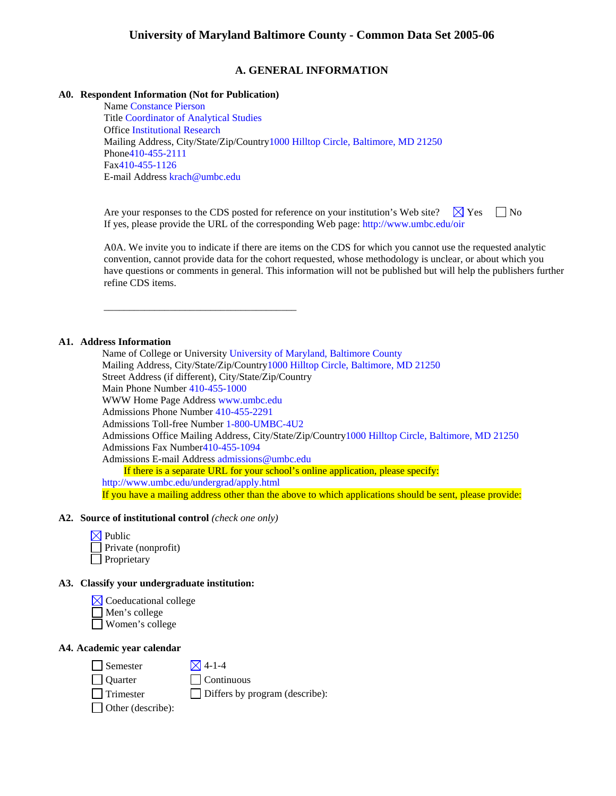# **A. GENERAL INFORMATION**

### **A0. Respondent Information (Not for Publication)**

\_\_\_\_\_\_\_\_\_\_\_\_\_\_\_\_\_\_\_\_\_\_\_\_\_\_\_\_\_\_\_\_\_\_\_\_\_\_

Name Constance Pierson Title Coordinator of Analytical Studies Office Institutional Research Mailing Address, City/State/Zip/Country1000 Hilltop Circle, Baltimore, MD 21250 Phone410-455-2111 Fax410-455-1126 E-mail Address krach@umbc.edu

Are your responses to the CDS posted for reference on your institution's Web site?  $\Box$  Yes  $\Box$  No If yes, please provide the URL of the corresponding Web page: http://www.umbc.edu/oir

A0A. We invite you to indicate if there are items on the CDS for which you cannot use the requested analytic convention, cannot provide data for the cohort requested, whose methodology is unclear, or about which you have questions or comments in general. This information will not be published but will help the publishers further refine CDS items.

### **A1. Address Information**

Name of College or University University of Maryland, Baltimore County Mailing Address, City/State/Zip/Country1000 Hilltop Circle, Baltimore, MD 21250 Street Address (if different), City/State/Zip/Country Main Phone Number 410-455-1000 WWW Home Page Address www.umbc.edu Admissions Phone Number 410-455-2291 Admissions Toll-free Number 1-800-UMBC-4U2 Admissions Office Mailing Address, City/State/Zip/Country1000 Hilltop Circle, Baltimore, MD 21250 Admissions Fax Number410-455-1094 Admissions E-mail Address admissions@umbc.edu If there is a separate URL for your school's online application, please specify: http://www.umbc.edu/undergrad/apply.html If you have a mailing address other than the above to which applications should be sent, please provide:

### **A2. Source of institutional control** *(check one only)*

| $\boxtimes$ Public  |
|---------------------|
| Private (nonprofit) |
| $\Box$ Proprietary  |

## **A3. Classify your undergraduate institution:**

 $\boxtimes$  Coeducational college Men's college

Women's college

## **A4. Academic year calendar**

 $\Box$  Semester  $\boxtimes$  4-1-4

Quarter Continuous

Trimester Differs by program (describe):

□ Other (describe):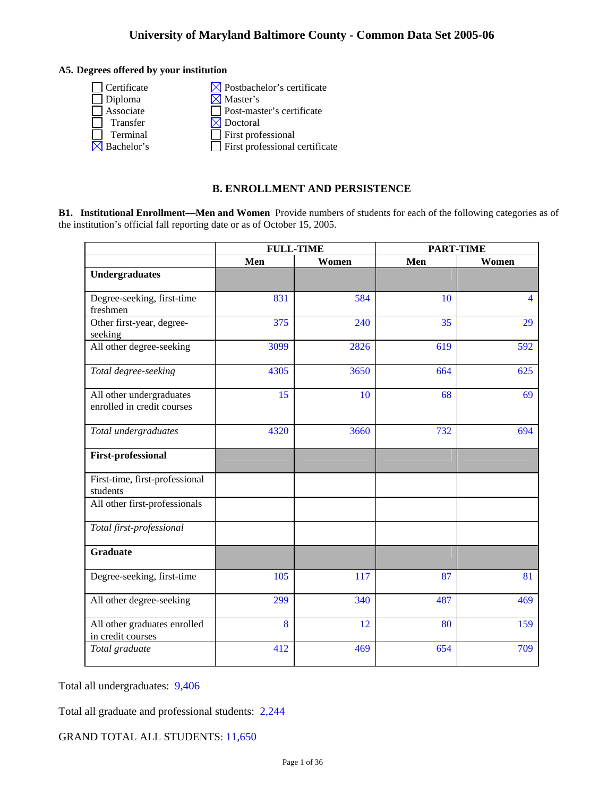## **A5. Degrees offered by your institution**

| $\Box$ Certificate     | $\boxtimes$ Postbachelor's certificate |
|------------------------|----------------------------------------|
| Diploma                | $\times$ Master's                      |
| Associate              | Post-master's certificate              |
| Transfer               | $\boxtimes$ Doctoral                   |
| Terminal               | $\Box$ First professional              |
| $\boxtimes$ Bachelor's | $\Box$ First professional certificate  |
|                        |                                        |

# **B. ENROLLMENT AND PERSISTENCE**

**B1. Institutional Enrollment—Men and Women** Provide numbers of students for each of the following categories as of the institution's official fall reporting date or as of October 15, 2005.

|                                                        | <b>FULL-TIME</b> |      | <b>PART-TIME</b> |                |
|--------------------------------------------------------|------------------|------|------------------|----------------|
|                                                        | Men<br>Women     |      | Men              | Women          |
| <b>Undergraduates</b>                                  |                  |      |                  |                |
| Degree-seeking, first-time<br>freshmen                 | 831              | 584  | 10               | $\overline{4}$ |
| Other first-year, degree-<br>seeking                   | 375              | 240  | 35               | 29             |
| All other degree-seeking                               | 3099             | 2826 | 619              | 592            |
| Total degree-seeking                                   | 4305             | 3650 | 664              | 625            |
| All other undergraduates<br>enrolled in credit courses | 15               | 10   | 68               | 69             |
| Total undergraduates                                   | 4320             | 3660 | 732              | 694            |
| <b>First-professional</b>                              |                  |      |                  |                |
| First-time, first-professional<br>students             |                  |      |                  |                |
| All other first-professionals                          |                  |      |                  |                |
| Total first-professional                               |                  |      |                  |                |
| <b>Graduate</b>                                        |                  |      |                  |                |
| Degree-seeking, first-time                             | 105              | 117  | 87               | 81             |
| All other degree-seeking                               | 299              | 340  | 487              | 469            |
| All other graduates enrolled<br>in credit courses      | 8                | 12   | 80               | 159            |
| Total graduate                                         | 412              | 469  | 654              | 709            |

Total all undergraduates: 9,406

Total all graduate and professional students: 2,244

GRAND TOTAL ALL STUDENTS: 11,650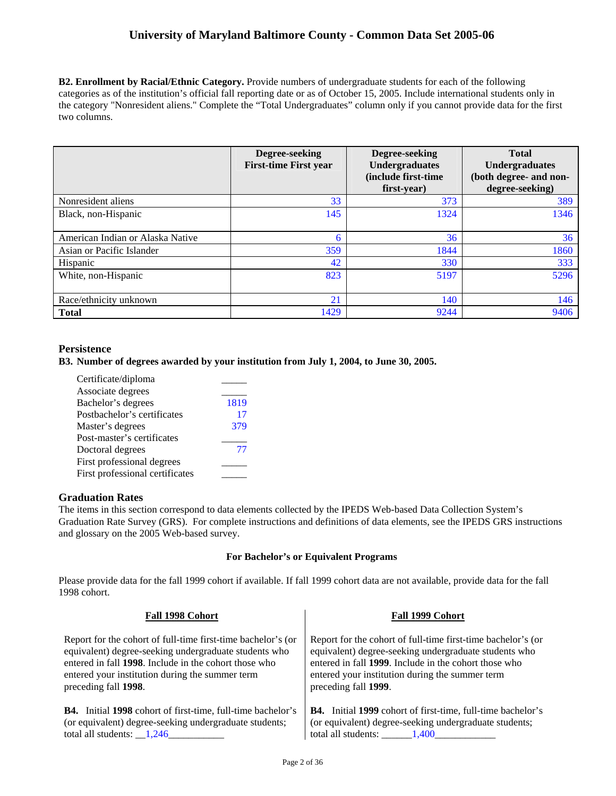**B2. Enrollment by Racial/Ethnic Category.** Provide numbers of undergraduate students for each of the following categories as of the institution's official fall reporting date or as of October 15, 2005. Include international students only in the category "Nonresident aliens." Complete the "Total Undergraduates" column only if you cannot provide data for the first two columns.

|                                  | Degree-seeking<br><b>First-time First year</b> | Degree-seeking<br>Undergraduates<br>(include first-time)<br>first-year) | <b>Total</b><br><b>Undergraduates</b><br>(both degree- and non-<br>degree-seeking) |
|----------------------------------|------------------------------------------------|-------------------------------------------------------------------------|------------------------------------------------------------------------------------|
| Nonresident aliens               | 33                                             | 373                                                                     | 389                                                                                |
| Black, non-Hispanic              | 145                                            | 1324                                                                    | 1346                                                                               |
| American Indian or Alaska Native | 6                                              | 36                                                                      | 36                                                                                 |
| Asian or Pacific Islander        | 359                                            | 1844                                                                    | 1860                                                                               |
| Hispanic                         | 42                                             | 330                                                                     | 333                                                                                |
| White, non-Hispanic              | 823                                            | 5197                                                                    | 5296                                                                               |
| Race/ethnicity unknown           | 21                                             | 140                                                                     | 146                                                                                |
| <b>Total</b>                     | 1429                                           | 9244                                                                    | 9406                                                                               |

## **Persistence**

**B3. Number of degrees awarded by your institution from July 1, 2004, to June 30, 2005.** 

| Certificate/diploma             |      |
|---------------------------------|------|
| Associate degrees               |      |
| Bachelor's degrees              | 1819 |
| Postbachelor's certificates     | 17   |
| Master's degrees                | 379  |
| Post-master's certificates      |      |
| Doctoral degrees                | 77   |
| First professional degrees      |      |
| First professional certificates |      |

## **Graduation Rates**

The items in this section correspond to data elements collected by the IPEDS Web-based Data Collection System's Graduation Rate Survey (GRS). For complete instructions and definitions of data elements, see the IPEDS GRS instructions and glossary on the 2005 Web-based survey.

### **For Bachelor's or Equivalent Programs**

Please provide data for the fall 1999 cohort if available. If fall 1999 cohort data are not available, provide data for the fall 1998 cohort.

| Fall 1998 Cohort                                                   | Fall 1999 Cohort                                                   |  |  |
|--------------------------------------------------------------------|--------------------------------------------------------------------|--|--|
| Report for the cohort of full-time first-time bachelor's (or       | Report for the cohort of full-time first-time bachelor's (or       |  |  |
| equivalent) degree-seeking undergraduate students who              | equivalent) degree-seeking undergraduate students who              |  |  |
| entered in fall 1998. Include in the cohort those who              | entered in fall 1999. Include in the cohort those who              |  |  |
| entered your institution during the summer term                    | entered your institution during the summer term                    |  |  |
| preceding fall 1998.                                               | preceding fall 1999.                                               |  |  |
| <b>B4.</b> Initial 1998 cohort of first-time, full-time bachelor's | <b>B4.</b> Initial 1999 cohort of first-time, full-time bachelor's |  |  |
| (or equivalent) degree-seeking undergraduate students;             | (or equivalent) degree-seeking undergraduate students;             |  |  |
| total all students: $1,246$                                        | total all students: 1,400                                          |  |  |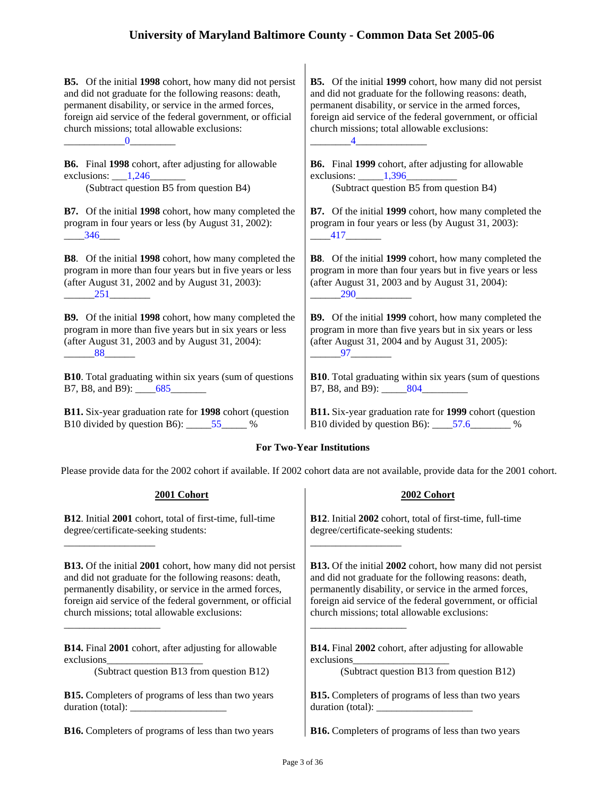**B5.** Of the initial **1998** cohort, how many did not persist and did not graduate for the following reasons: death, permanent disability, or service in the armed forces, foreign aid service of the federal government, or official church missions; total allowable exclusions:  $\underline{\hspace{1.5em}}$   $\underline{\hspace{1.5em}}$   $\underline{\hspace{1.5em}}$   $\underline{\hspace{1.5em}}$   $\underline{\hspace{1.5em}}$   $\underline{\hspace{1.5em}}$   $\underline{\hspace{1.5em}}$   $\underline{\hspace{1.5em}}$   $\underline{\hspace{1.5em}}$   $\underline{\hspace{1.5em}}$   $\underline{\hspace{1.5em}}$   $\underline{\hspace{1.5em}}$   $\underline{\hspace{1.5em}}$   $\underline{\hspace{1.5em}}$   $\underline{\hspace{1.5$ 

**B6.** Final **1998** cohort, after adjusting for allowable exclusions:  $\underline{\hspace{1cm}1,246}$ 

(Subtract question B5 from question B4) (Subtract question B5 from question B4)

**B7.** Of the initial **1998** cohort, how many completed the program in four years or less (by August 31, 2002):  $-346$ 

**B8**. Of the initial **1998** cohort, how many completed the program in more than four years but in five years or less (after August 31, 2002 and by August 31, 2003): \_\_\_\_\_\_251\_\_\_\_\_\_\_\_

**B9.** Of the initial **1998** cohort, how many completed the program in more than five years but in six years or less (after August 31, 2003 and by August 31, 2004):  $-88$ 

**B10**. Total graduating within six years (sum of questions B7, B8, and B9): 685

**B11.** Six-year graduation rate for **1998** cohort (question B10 divided by question B6): \_\_\_\_\_\_55\_\_\_\_\_\_ %

**B5.** Of the initial **1999** cohort, how many did not persist and did not graduate for the following reasons: death, permanent disability, or service in the armed forces, foreign aid service of the federal government, or official church missions; total allowable exclusions: \_\_\_\_\_\_\_\_4\_\_\_\_\_\_\_\_\_\_\_\_\_\_

**B6.** Final **1999** cohort, after adjusting for allowable exclusions:  $\frac{1,396}{}$ 

**B7.** Of the initial **1999** cohort, how many completed the program in four years or less (by August 31, 2003):  $-417$ 

**B8**. Of the initial **1999** cohort, how many completed the program in more than four years but in five years or less (after August 31, 2003 and by August 31, 2004): \_\_\_\_\_\_290\_\_\_\_\_\_\_\_\_\_\_

**B9.** Of the initial **1999** cohort, how many completed the program in more than five years but in six years or less (after August 31, 2004 and by August 31, 2005):  $-97$ 

**B10**. Total graduating within six years (sum of questions B7, B8, and B9): 804

**B11.** Six-year graduation rate for **1999** cohort (question B10 divided by question B6): \_\_\_\_57.6\_\_\_\_\_\_\_\_ %

# **For Two-Year Institutions**

Please provide data for the 2002 cohort if available. If 2002 cohort data are not available, provide data for the 2001 cohort.

| 2001 Cohort                                                      | 2002 Cohort                                                      |
|------------------------------------------------------------------|------------------------------------------------------------------|
| <b>B12.</b> Initial 2001 cohort, total of first-time, full-time  | <b>B12.</b> Initial 2002 cohort, total of first-time, full-time  |
| degree/certificate-seeking students:                             | degree/certificate-seeking students:                             |
| <b>B13.</b> Of the initial 2001 cohort, how many did not persist | <b>B13.</b> Of the initial 2002 cohort, how many did not persist |
| and did not graduate for the following reasons: death,           | and did not graduate for the following reasons: death,           |
| permanently disability, or service in the armed forces,          | permanently disability, or service in the armed forces,          |
| foreign aid service of the federal government, or official       | foreign aid service of the federal government, or official       |
| church missions; total allowable exclusions:                     | church missions; total allowable exclusions:                     |
| <b>B14.</b> Final 2001 cohort, after adjusting for allowable     | <b>B14.</b> Final 2002 cohort, after adjusting for allowable     |
| exclusions                                                       | exclusions                                                       |
| (Subtract question B13 from question B12)                        | (Subtract question B13 from question B12)                        |
| <b>B15.</b> Completers of programs of less than two years        | <b>B15.</b> Completers of programs of less than two years        |
| duration (total):                                                | duration (total):                                                |
| <b>B16.</b> Completers of programs of less than two years        | <b>B16.</b> Completers of programs of less than two years        |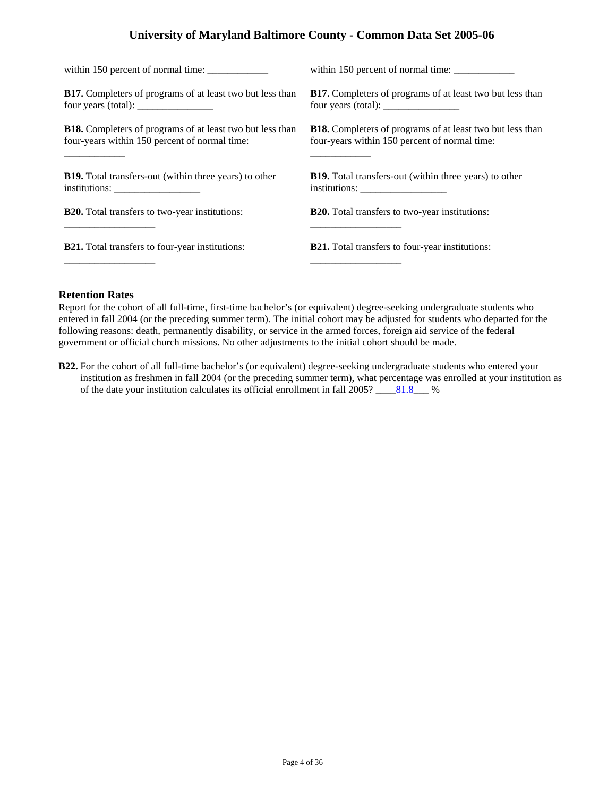| within 150 percent of normal time:                                                        | within 150 percent of normal time:                                                                       |
|-------------------------------------------------------------------------------------------|----------------------------------------------------------------------------------------------------------|
| <b>B17.</b> Completers of programs of at least two but less than                          | <b>B17.</b> Completers of programs of at least two but less than                                         |
| four years (total): $\frac{1}{\sqrt{1-\frac{1}{2}} \cdot \frac{1}{\sqrt{1-\frac{1}{2}}}}$ | four years (total): $\frac{1}{\sqrt{1-\frac{1}{2}}}\left\vert \frac{1}{\sqrt{1-\frac{1}{2}}}\right\vert$ |
| <b>B18.</b> Completers of programs of at least two but less than                          | <b>B18.</b> Completers of programs of at least two but less than                                         |
| four-years within 150 percent of normal time:                                             | four-years within 150 percent of normal time:                                                            |
| <b>B19.</b> Total transfers-out (within three years) to other                             | <b>B19.</b> Total transfers-out (within three years) to other                                            |
|                                                                                           |                                                                                                          |
| <b>B20.</b> Total transfers to two-year institutions:                                     | <b>B20.</b> Total transfers to two-year institutions:                                                    |
| <b>B21.</b> Total transfers to four-year institutions:                                    | <b>B21.</b> Total transfers to four-year institutions:                                                   |

### **Retention Rates**

Report for the cohort of all full-time, first-time bachelor's (or equivalent) degree-seeking undergraduate students who entered in fall 2004 (or the preceding summer term). The initial cohort may be adjusted for students who departed for the following reasons: death, permanently disability, or service in the armed forces, foreign aid service of the federal government or official church missions. No other adjustments to the initial cohort should be made.

**B22.** For the cohort of all full-time bachelor's (or equivalent) degree-seeking undergraduate students who entered your institution as freshmen in fall 2004 (or the preceding summer term), what percentage was enrolled at your institution as of the date your institution calculates its official enrollment in fall 2005? \_\_\_\_81.8\_\_\_ %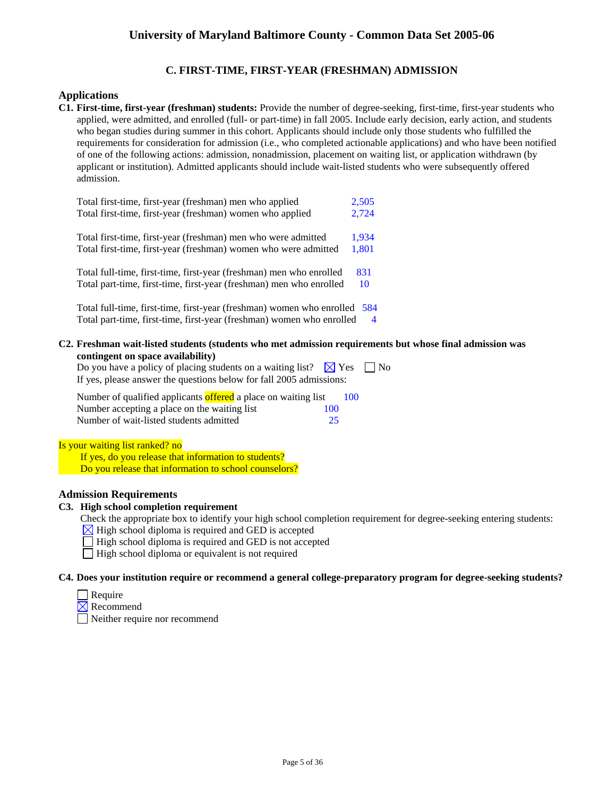# **C. FIRST-TIME, FIRST-YEAR (FRESHMAN) ADMISSION**

## **Applications**

**C1. First-time, first-year (freshman) students:** Provide the number of degree-seeking, first-time, first-year students who applied, were admitted, and enrolled (full- or part-time) in fall 2005. Include early decision, early action, and students who began studies during summer in this cohort. Applicants should include only those students who fulfilled the requirements for consideration for admission (i.e., who completed actionable applications) and who have been notified of one of the following actions: admission, nonadmission, placement on waiting list, or application withdrawn (by applicant or institution). Admitted applicants should include wait-listed students who were subsequently offered admission.

| Total first-time, first-year (freshman) men who applied               | 2,505          |
|-----------------------------------------------------------------------|----------------|
| Total first-time, first-year (freshman) women who applied             | 2,724          |
| Total first-time, first-year (freshman) men who were admitted         | 1,934          |
| Total first-time, first-year (freshman) women who were admitted       | 1,801          |
| Total full-time, first-time, first-year (freshman) men who enrolled   | 831            |
| Total part-time, first-time, first-year (freshman) men who enrolled   | 10             |
| Total full-time, first-time, first-year (freshman) women who enrolled | 584            |
| Total part-time, first-time, first-year (freshman) women who enrolled | $\overline{4}$ |

**C2. Freshman wait-listed students (students who met admission requirements but whose final admission was contingent on space availability)**

Do you have a policy of placing students on a waiting list?  $\boxtimes$  Yes  $\Box$  No If yes, please answer the questions below for fall 2005 admissions:

| Number of qualified applicants offered a place on waiting list |  |     | 100 |
|----------------------------------------------------------------|--|-----|-----|
| Number accepting a place on the waiting list                   |  | 100 |     |
| Number of wait-listed students admitted                        |  | 25  |     |

Is your waiting list ranked? no

If yes, do you release that information to students? Do you release that information to school counselors?

## **Admission Requirements**

## **C3. High school completion requirement**

Check the appropriate box to identify your high school completion requirement for degree-seeking entering students:

- $\overline{\mathbb{X}}$  High school diploma is required and GED is accepted
- $\Box$  High school diploma is required and GED is not accepted
- $\Box$  High school diploma or equivalent is not required

## **C4. Does your institution require or recommend a general college-preparatory program for degree-seeking students?**

- $\Box$  Require
- $\times$  Recommend
	- Neither require nor recommend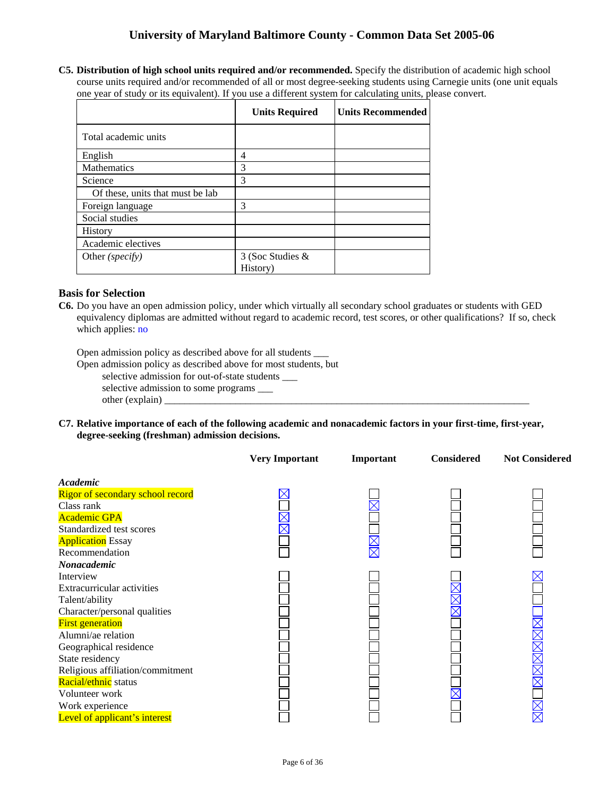**C5. Distribution of high school units required and/or recommended.** Specify the distribution of academic high school course units required and/or recommended of all or most degree-seeking students using Carnegie units (one unit equals one year of study or its equivalent). If you use a different system for calculating units, please convert.

| <b>Units Required</b> | <b>Units Recommended</b> |
|-----------------------|--------------------------|
|                       |                          |
| 4                     |                          |
| 3                     |                          |
| 3                     |                          |
|                       |                          |
| 3                     |                          |
|                       |                          |
|                       |                          |
|                       |                          |
| 3 (Soc Studies &      |                          |
|                       | History)                 |

## **Basis for Selection**

**C6.** Do you have an open admission policy, under which virtually all secondary school graduates or students with GED equivalency diplomas are admitted without regard to academic record, test scores, or other qualifications? If so, check which applies: no

Open admission policy as described above for all students \_\_\_

Open admission policy as described above for most students, but selective admission for out-of-state students \_\_\_ selective admission to some programs \_\_\_ other (explain)  $\Box$ 

**C7. Relative importance of each of the following academic and nonacademic factors in your first-time, first-year, degree-seeking (freshman) admission decisions.** 

|                                   | <b>Very Important</b> | Important | <b>Considered</b> | <b>Not Considered</b>           |
|-----------------------------------|-----------------------|-----------|-------------------|---------------------------------|
| Academic                          |                       |           |                   |                                 |
| Rigor of secondary school record  |                       |           |                   |                                 |
| Class rank                        |                       |           |                   |                                 |
| <b>Academic GPA</b>               |                       |           |                   |                                 |
| Standardized test scores          |                       |           |                   |                                 |
| <b>Application</b> Essay          |                       |           |                   |                                 |
| Recommendation                    |                       |           |                   |                                 |
| Nonacademic                       |                       |           |                   |                                 |
| Interview                         |                       |           |                   |                                 |
| <b>Extracurricular activities</b> |                       |           |                   |                                 |
| Talent/ability                    |                       |           |                   |                                 |
| Character/personal qualities      |                       |           |                   |                                 |
| <b>First generation</b>           |                       |           |                   |                                 |
| Alumni/ae relation                |                       |           |                   |                                 |
| Geographical residence            |                       |           |                   |                                 |
| State residency                   |                       |           |                   |                                 |
| Religious affiliation/commitment  |                       |           |                   |                                 |
| <b>Racial/ethnic</b> status       |                       |           |                   |                                 |
| Volunteer work                    |                       |           |                   |                                 |
| Work experience                   |                       |           |                   | $\frac{\mathsf{X}}{\mathsf{X}}$ |
| Level of applicant's interest     |                       |           |                   |                                 |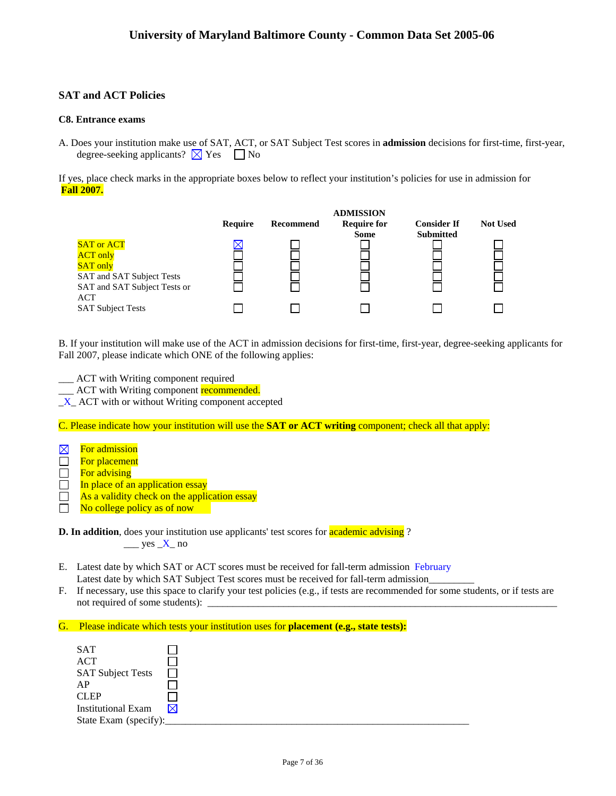# **SAT and ACT Policies**

### **C8. Entrance exams**

A. Does your institution make use of SAT, ACT, or SAT Subject Test scores in **admission** decisions for first-time, first-year, degree-seeking applicants?  $\times$  Yes  $\Box$  No

If yes, place check marks in the appropriate boxes below to reflect your institution's policies for use in admission for **Fall 2007.** 



B. If your institution will make use of the ACT in admission decisions for first-time, first-year, degree-seeking applicants for Fall 2007, please indicate which ONE of the following applies:

\_\_\_ ACT with Writing component required

<sup>1</sup> ACT with Writing component **recommended**.

 $X$  ACT with or without Writing component accepted

C. Please indicate how your institution will use the **SAT or ACT writing** component; check all that apply:

| $\boxtimes$ | For admission        |
|-------------|----------------------|
| $\perp$     | <b>For placement</b> |

 $\Box$  For advising

- $\Box$  In place of an application essay
- $\Box$  As a validity check on the application essay
- $\Box$  No college policy as of now

**D. In addition**, does your institution use applicants' test scores for **academic advising**?  $\frac{\text{yes }X}{\text{no}}$ 

- E. Latest date by which SAT or ACT scores must be received for fall-term admission February Latest date by which SAT Subject Test scores must be received for fall-term admission
- F. If necessary, use this space to clarify your test policies (e.g., if tests are recommended for some students, or if tests are not required of some students):
- G. Please indicate which tests your institution uses for **placement (e.g., state tests):**

| <b>SAT</b>                |  |  |  |
|---------------------------|--|--|--|
| <b>ACT</b>                |  |  |  |
| <b>SAT Subject Tests</b>  |  |  |  |
| AP                        |  |  |  |
| <b>CLEP</b>               |  |  |  |
| <b>Institutional Exam</b> |  |  |  |
| State Exam (specify):     |  |  |  |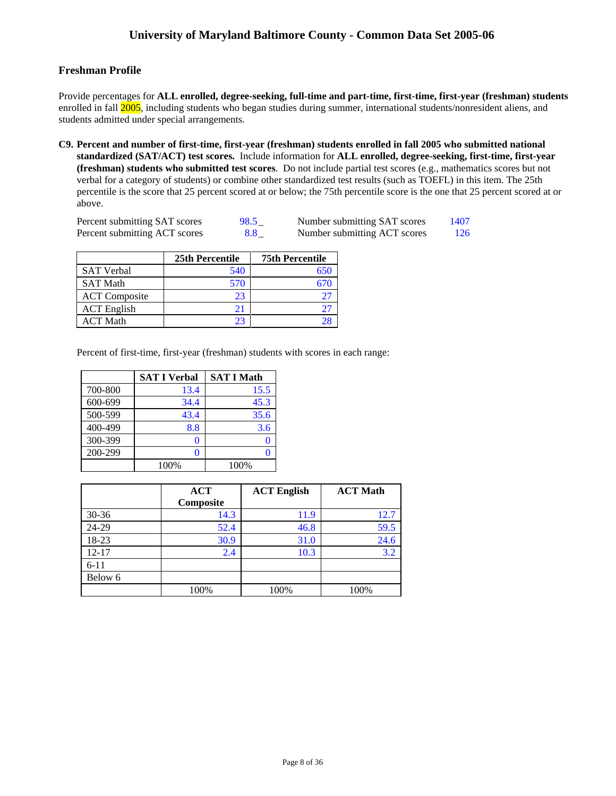# **Freshman Profile**

Provide percentages for **ALL enrolled, degree-seeking, full-time and part-time, first-time, first-year (freshman) students**  enrolled in fall 2005, including students who began studies during summer, international students/nonresident aliens, and students admitted under special arrangements.

**C9. Percent and number of first-time, first-year (freshman) students enrolled in fall 2005 who submitted national standardized (SAT/ACT) test scores.** Include information for **ALL enrolled, degree-seeking, first-time, first-year (freshman) students who submitted test scores**. Do not include partial test scores (e.g., mathematics scores but not verbal for a category of students) or combine other standardized test results (such as TOEFL) in this item. The 25th percentile is the score that 25 percent scored at or below; the 75th percentile score is the one that 25 percent scored at or above.

| Percent submitting SAT scores | 98.5 | Number submitting SAT scores | 1407 |
|-------------------------------|------|------------------------------|------|
| Percent submitting ACT scores | 8.8  | Number submitting ACT scores | 126  |

|                      | 25th Percentile | <b>75th Percentile</b> |
|----------------------|-----------------|------------------------|
| <b>SAT Verbal</b>    | 540             |                        |
| <b>SAT Math</b>      | 570             |                        |
| <b>ACT</b> Composite | 23              |                        |
| <b>ACT</b> English   | 21              |                        |
| <b>ACT Math</b>      | 23              |                        |

Percent of first-time, first-year (freshman) students with scores in each range:

|         | <b>SAT I Verbal</b> | <b>SAT I Math</b> |
|---------|---------------------|-------------------|
| 700-800 | 13.4                | 15.5              |
| 600-699 | 34.4                | 45.3              |
| 500-599 | 43.4                | 35.6              |
| 400-499 | 8.8                 | 3.6               |
| 300-399 | U                   |                   |
| 200-299 | 0                   |                   |
|         | 100%                | 100%              |

|           | <b>ACT</b><br>Composite | <b>ACT English</b> | <b>ACT Math</b> |
|-----------|-------------------------|--------------------|-----------------|
| $30 - 36$ | 14.3                    | 11.9               | 12.7            |
| 24-29     | 52.4                    | 46.8               | 59.5            |
| 18-23     | 30.9                    | 31.0               | 24.6            |
| $12 - 17$ | 2.4                     | 10.3               | 3.2             |
| $6 - 11$  |                         |                    |                 |
| Below 6   |                         |                    |                 |
|           | 100%                    | 100%               | 100%            |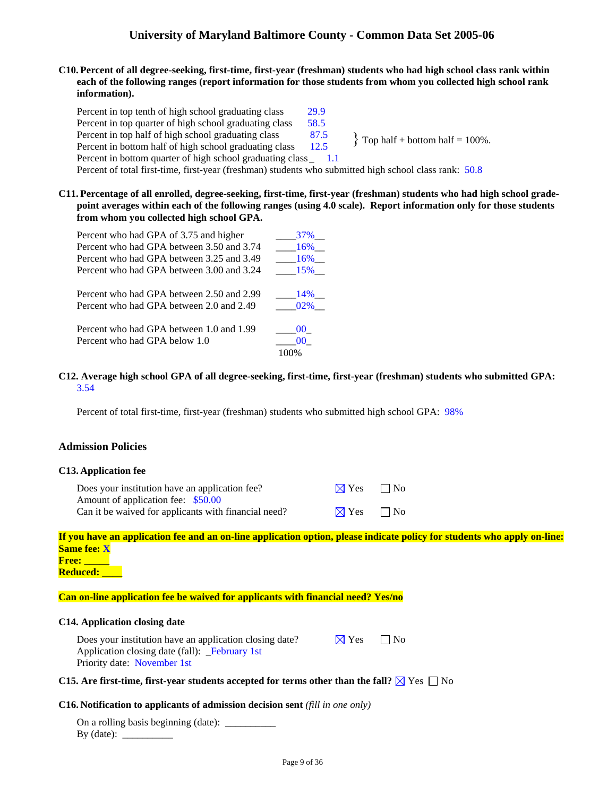### **C10. Percent of all degree-seeking, first-time, first-year (freshman) students who had high school class rank within each of the following ranges (report information for those students from whom you collected high school rank information).**

Percent in top tenth of high school graduating class 29.9 Percent in top quarter of high school graduating class 58.5 Percent in top half of high school graduating class  $\begin{cases} 87.5 \\ 12.5 \end{cases}$  Top half + bottom half = 100%. Percent in bottom half of high school graduating class Percent in bottom quarter of high school graduating class \_ 1.1

Percent of total first-time, first-year (freshman) students who submitted high school class rank: 50.8

**C11. Percentage of all enrolled, degree-seeking, first-time, first-year (freshman) students who had high school gradepoint averages within each of the following ranges (using 4.0 scale). Report information only for those students from whom you collected high school GPA.** 

| Percent who had GPA of 3.75 and higher    | <b>37%</b>      |
|-------------------------------------------|-----------------|
| Percent who had GPA between 3.50 and 3.74 | 16%             |
| Percent who had GPA between 3.25 and 3.49 | 16%             |
| Percent who had GPA between 3.00 and 3.24 | 15%             |
| Percent who had GPA between 2.50 and 2.99 | 14%             |
| Percent who had GPA between 2.0 and 2.49  | $02\%$          |
| Percent who had GPA between 1.0 and 1.99  | 00 <sup>1</sup> |
| Percent who had GPA below 1.0             |                 |
|                                           |                 |

### **C12. Average high school GPA of all degree-seeking, first-time, first-year (freshman) students who submitted GPA:** 3.54

Percent of total first-time, first-year (freshman) students who submitted high school GPA: 98%

## **Admission Policies**

### **C13. Application fee**

| Does your institution have an application fee?       | $\boxtimes$ Yes $\Box$ No |  |
|------------------------------------------------------|---------------------------|--|
| Amount of application fee: \$50.00                   |                           |  |
| Can it be waived for applicants with financial need? | $\boxtimes$ Yes $\Box$ No |  |

|                    | If you have an application fee and an on-line application option, please indicate policy for students who apply on-line: |  |  |
|--------------------|--------------------------------------------------------------------------------------------------------------------------|--|--|
| <b>Same fee: X</b> |                                                                                                                          |  |  |
|                    |                                                                                                                          |  |  |

**Free: \_\_\_\_\_ Reduced: \_\_\_\_** 

### **Can on-line application fee be waived for applicants with financial need? Yes/no**

### **C14. Application closing date**

| Does your institution have an application closing date? | $\boxtimes$ Yes | $\Box$ No |
|---------------------------------------------------------|-----------------|-----------|
| Application closing date (fall): February 1st           |                 |           |
| Priority date: November 1st                             |                 |           |

### **C15.** Are first-time, first-year students accepted for terms other than the fall?  $\boxtimes$  Yes  $\Box$  No

### **C16. Notification to applicants of admission decision sent** *(fill in one only)*

On a rolling basis beginning (date): \_\_\_\_\_\_\_\_\_\_ By (date): \_\_\_\_\_\_\_\_\_\_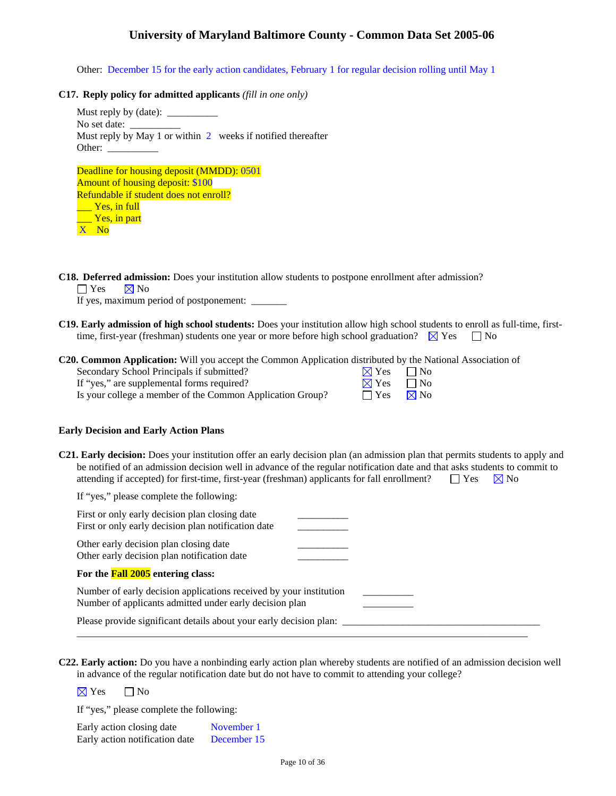Other: December 15 for the early action candidates, February 1 for regular decision rolling until May 1

### **C17. Reply policy for admitted applicants** *(fill in one only)*

| No set date:<br>Must reply by May 1 or within $2$ weeks if notified thereafter |
|--------------------------------------------------------------------------------|
| Other: $\frac{1}{\sqrt{1-\frac{1}{2}}\cdot\frac{1}{\sqrt{1-\frac{1}{2}}}}$     |
|                                                                                |
| Deadline for housing deposit (MMDD): 0501                                      |
| <b>Amount of housing deposit: \$100</b>                                        |
| Refundable if student does not enroll?                                         |
| <b>Example 18</b> Yes, in full                                                 |

**C18. Deferred admission:** Does your institution allow students to postpone enrollment after admission?

 $\Box$  Yes  $\Box$  No

\_\_\_ Yes, in part

X No

If yes, maximum period of postponement: \_\_\_\_\_\_\_

**C19. Early admission of high school students:** Does your institution allow high school students to enroll as full-time, firsttime, first-year (freshman) students one year or more before high school graduation?  $\boxtimes$  Yes  $\Box$  No

| <b>C20. Common Application:</b> Will you accept the Common Application distributed by the National Association of |                              |
|-------------------------------------------------------------------------------------------------------------------|------------------------------|
| Secondary School Principals if submitted?                                                                         | $\boxtimes$ Yes $\Box$ No    |
| If "yes," are supplemental forms required?                                                                        | $\boxtimes$ Yes<br>$\Box$ No |
| Is your college a member of the Common Application Group?                                                         | $\boxtimes$ No<br>$\Box$ Yes |

### **Early Decision and Early Action Plans**

**C21. Early decision:** Does your institution offer an early decision plan (an admission plan that permits students to apply and be notified of an admission decision well in advance of the regular notification date and that asks students to commit to attending if accepted) for first-time, first-year (freshman) applicants for fall enrollment?  $\square$  Yes  $\boxtimes$  No

If "yes," please complete the following:

| First or only early decision plan closing date<br>First or only early decision plan notification date                         |  |
|-------------------------------------------------------------------------------------------------------------------------------|--|
| Other early decision plan closing date<br>Other early decision plan notification date                                         |  |
| For the <b>Fall 2005</b> entering class:                                                                                      |  |
| Number of early decision applications received by your institution<br>Number of applicants admitted under early decision plan |  |
| Please provide significant details about your early decision plan:                                                            |  |

**C22. Early action:** Do you have a nonbinding early action plan whereby students are notified of an admission decision well in advance of the regular notification date but do not have to commit to attending your college?

 $\boxtimes$  Yes  $\Box$  No

If "yes," please complete the following:

| Early action closing date      | November 1  |
|--------------------------------|-------------|
| Early action notification date | December 15 |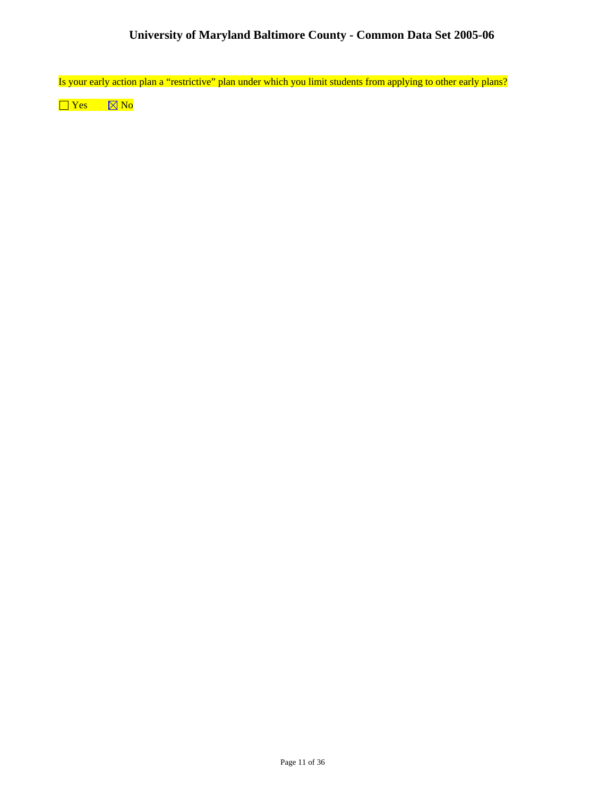Is your early action plan a "restrictive" plan under which you limit students from applying to other early plans?

 $\Box$  Yes  $\Box$  No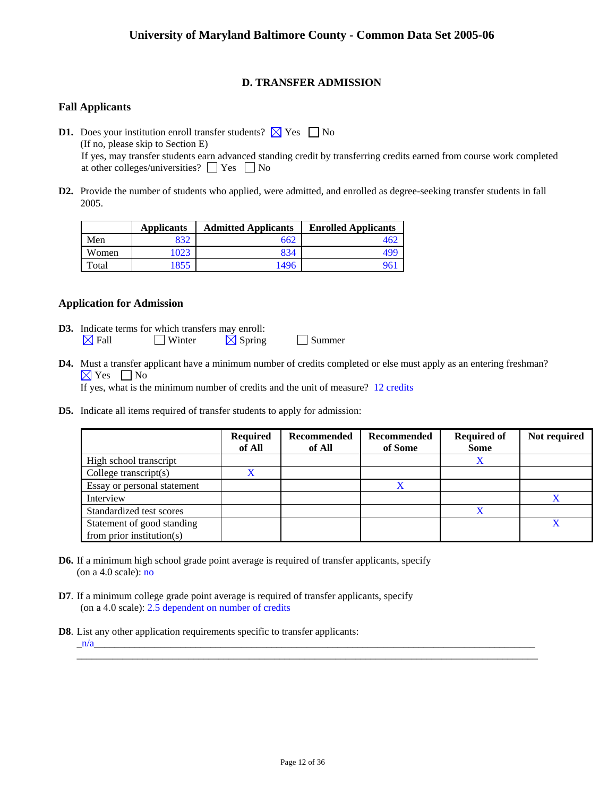# **D. TRANSFER ADMISSION**

## **Fall Applicants**

**D1.** Does your institution enroll transfer students?  $\boxtimes$  Yes  $\Box$  No (If no, please skip to Section E) If yes, may transfer students earn advanced standing credit by transferring credits earned from course work completed at other colleges/universities?  $\Box$  Yes  $\Box$  No

**D2.** Provide the number of students who applied, were admitted, and enrolled as degree-seeking transfer students in fall 2005.

|       | <b>Applicants</b> | <b>Admitted Applicants</b> | <b>Enrolled Applicants</b> |
|-------|-------------------|----------------------------|----------------------------|
| Men   | 832               | 662                        |                            |
| Women | 023               | 834                        | 49e                        |
| Total | 1855              | 1496                       |                            |

### **Application for Admission**

- **D3.** Indicate terms for which transfers may enroll:  $\boxtimes$  Fall  $\Box$  Winter  $\boxtimes$  Spring  $\Box$  Summer
- **D4.** Must a transfer applicant have a minimum number of credits completed or else must apply as an entering freshman?  $\boxtimes$  Yes  $\Box$  No If yes, what is the minimum number of credits and the unit of measure? 12 credits
- **D5.** Indicate all items required of transfer students to apply for admission:

|                                                             | <b>Required</b><br>of All | <b>Recommended</b><br>of All | Recommended<br>of Some | <b>Required of</b><br><b>Some</b> | Not required |
|-------------------------------------------------------------|---------------------------|------------------------------|------------------------|-----------------------------------|--------------|
| High school transcript                                      |                           |                              |                        | Χ                                 |              |
| College transcript $(s)$                                    | X                         |                              |                        |                                   |              |
| Essay or personal statement                                 |                           |                              | X                      |                                   |              |
| Interview                                                   |                           |                              |                        |                                   |              |
| Standardized test scores                                    |                           |                              |                        | X                                 |              |
| Statement of good standing<br>from prior institution( $s$ ) |                           |                              |                        |                                   |              |

- **D6.** If a minimum high school grade point average is required of transfer applicants, specify (on a 4.0 scale): no
- **D7**. If a minimum college grade point average is required of transfer applicants, specify (on a 4.0 scale): 2.5 dependent on number of credits
- **D8**. List any other application requirements specific to transfer applicants:

 $_n/a$ 

\_\_\_\_\_\_\_\_\_\_\_\_\_\_\_\_\_\_\_\_\_\_\_\_\_\_\_\_\_\_\_\_\_\_\_\_\_\_\_\_\_\_\_\_\_\_\_\_\_\_\_\_\_\_\_\_\_\_\_\_\_\_\_\_\_\_\_\_\_\_\_\_\_\_\_\_\_\_\_\_\_\_\_\_\_\_\_\_\_\_\_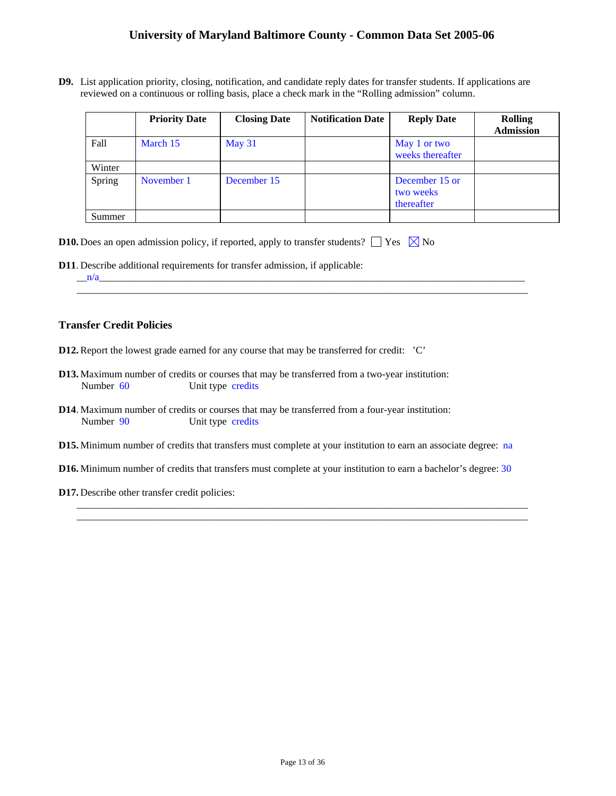**D9.** List application priority, closing, notification, and candidate reply dates for transfer students. If applications are reviewed on a continuous or rolling basis, place a check mark in the "Rolling admission" column.

|        | <b>Priority Date</b> | <b>Closing Date</b> | <b>Notification Date</b> | <b>Reply Date</b>                         | <b>Rolling</b><br><b>Admission</b> |
|--------|----------------------|---------------------|--------------------------|-------------------------------------------|------------------------------------|
| Fall   | March 15             | May 31              |                          | May 1 or two<br>weeks thereafter          |                                    |
| Winter |                      |                     |                          |                                           |                                    |
| Spring | November 1           | December 15         |                          | December 15 or<br>two weeks<br>thereafter |                                    |
| Summer |                      |                     |                          |                                           |                                    |

\_\_\_\_\_\_\_\_\_\_\_\_\_\_\_\_\_\_\_\_\_\_\_\_\_\_\_\_\_\_\_\_\_\_\_\_\_\_\_\_\_\_\_\_\_\_\_\_\_\_\_\_\_\_\_\_\_\_\_\_\_\_\_\_\_\_\_\_\_\_\_\_\_\_\_\_\_\_\_\_\_\_\_\_\_\_\_\_\_

|  |  | <b>D10.</b> Does an open admission policy, if reported, apply to transfer students? $\Box$ Yes $\boxtimes$ No |  |  |
|--|--|---------------------------------------------------------------------------------------------------------------|--|--|
|--|--|---------------------------------------------------------------------------------------------------------------|--|--|

**D11**. Describe additional requirements for transfer admission, if applicable:

 $_n/n$ 

### **Transfer Credit Policies**

- **D12.** Report the lowest grade earned for any course that may be transferred for credit: 'C'
- **D13.** Maximum number of credits or courses that may be transferred from a two-year institution: Number 60 Unit type credits
- **D14**. Maximum number of credits or courses that may be transferred from a four-year institution: Number 90 Unit type credits
- **D15.** Minimum number of credits that transfers must complete at your institution to earn an associate degree: na
- **D16.** Minimum number of credits that transfers must complete at your institution to earn a bachelor's degree: 30

\_\_\_\_\_\_\_\_\_\_\_\_\_\_\_\_\_\_\_\_\_\_\_\_\_\_\_\_\_\_\_\_\_\_\_\_\_\_\_\_\_\_\_\_\_\_\_\_\_\_\_\_\_\_\_\_\_\_\_\_\_\_\_\_\_\_\_\_\_\_\_\_\_\_\_\_\_\_\_\_\_\_\_\_\_\_\_\_\_ \_\_\_\_\_\_\_\_\_\_\_\_\_\_\_\_\_\_\_\_\_\_\_\_\_\_\_\_\_\_\_\_\_\_\_\_\_\_\_\_\_\_\_\_\_\_\_\_\_\_\_\_\_\_\_\_\_\_\_\_\_\_\_\_\_\_\_\_\_\_\_\_\_\_\_\_\_\_\_\_\_\_\_\_\_\_\_\_\_

**D17.** Describe other transfer credit policies: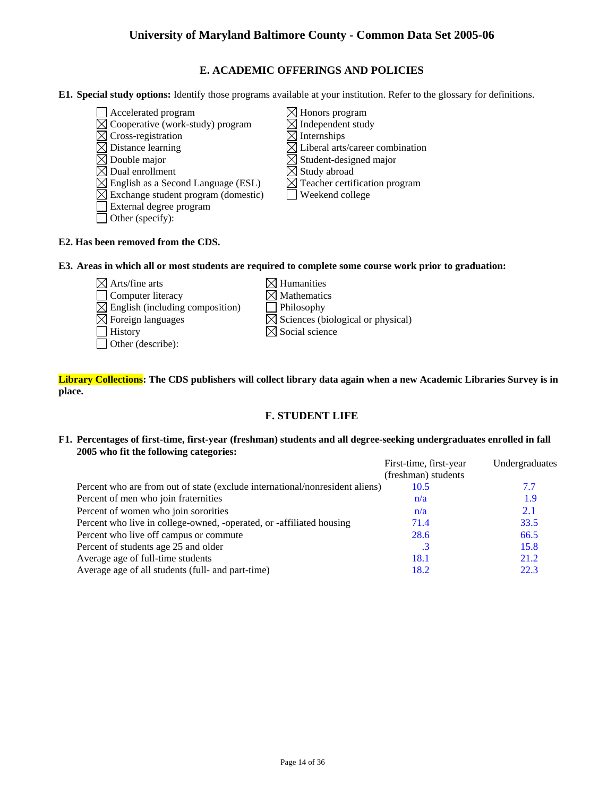## **E. ACADEMIC OFFERINGS AND POLICIES**

**E1. Special study options:** Identify those programs available at your institution. Refer to the glossary for definitions.

- $\Box$  Accelerated program  $\boxtimes$  Honors program
- $\boxtimes$  Cooperative (work-study) program  $\boxtimes$  Independent study
- $\boxtimes$  Cross-registration  $\boxtimes$  Internships
- 
- 
- 
- $\boxtimes$  Dual enrollment<br>  $\boxtimes$  English as a Second Language (ESL)  $\boxtimes$  Teacher certification program  $\boxtimes$  English as a Second Language (ESL)
- $\boxtimes$  Exchange student program (domestic)  $\Box$  Weekend college
- External degree program
- $\Box$  Other (specify):
- $\boxtimes$  Distance learning  $\boxtimes$  Liberal arts/career combination  $\boxtimes$  Double major  $\boxtimes$  Student-designed major
	-
	-
	-

## **E2. Has been removed from the CDS.**

### **E3. Areas in which all or most students are required to complete some course work prior to graduation:**

- $\boxtimes$  Arts/fine arts  $\boxtimes$  Humanities  $\Box$  Computer literacy  $\boxtimes$  Mathematics  $\boxtimes$  English (including composition)  $\Box$  Philosophy  $\boxtimes$  Foreign languages  $\boxtimes$  Sciences (biological or physical)  $\Box$  History  $\boxtimes$  Social science Other (describe):
	-
	-

## **Library Collections: The CDS publishers will collect library data again when a new Academic Libraries Survey is in place.**

# **F. STUDENT LIFE**

### **F1. Percentages of first-time, first-year (freshman) students and all degree-seeking undergraduates enrolled in fall 2005 who fit the following categories:**

|                                                                              | First-time, first-year | Undergraduates |
|------------------------------------------------------------------------------|------------------------|----------------|
|                                                                              | (freshman) students    |                |
| Percent who are from out of state (exclude international/nonresident aliens) | 10.5                   | 7.7            |
| Percent of men who join fraternities                                         | n/a                    | 1.9            |
| Percent of women who join sororities                                         | n/a                    | 2.1            |
| Percent who live in college-owned, -operated, or -affiliated housing         | 71.4                   | 33.5           |
| Percent who live off campus or commute                                       | 28.6                   | 66.5           |
| Percent of students age 25 and older                                         | $\cdot$ 3              | 15.8           |
| Average age of full-time students                                            | 18.1                   | 21.2           |
| Average age of all students (full- and part-time)                            | 18.2                   | 22.3           |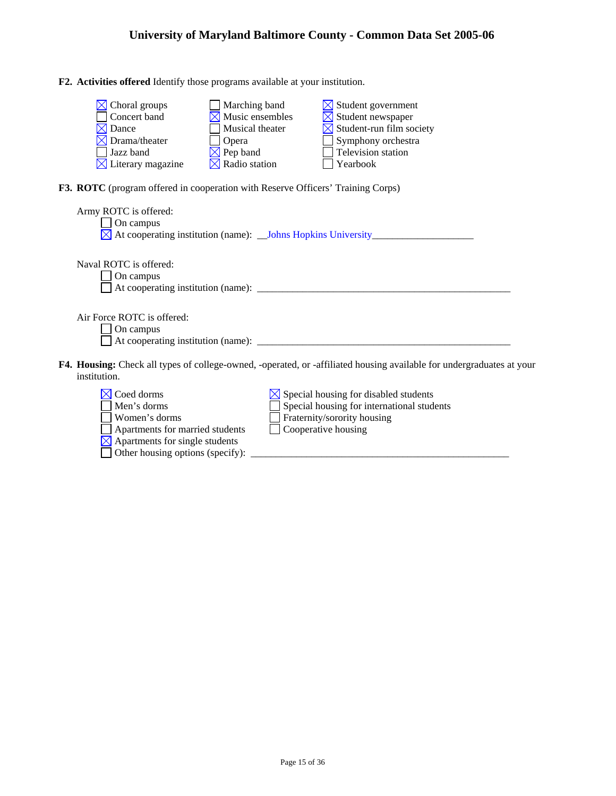**F2. Activities offered** Identify those programs available at your institution.

| $\boxtimes$ Choral groups     | $\Box$ Marching band        | $\boxtimes$ Student government       |
|-------------------------------|-----------------------------|--------------------------------------|
| $\Box$ Concert band           | $\boxtimes$ Music ensembles | $\boxtimes$ Student newspaper        |
| $\boxtimes$ Dance             | Musical theater             | $\boxtimes$ Student-run film society |
| $\boxtimes$ Drama/theater     | <b>Opera</b>                | $\Box$ Symphony orchestra            |
| $\Box$ Jazz band              | $\boxtimes$ Pep band        | $\Box$ Television station            |
| $\boxtimes$ Literary magazine | $\boxtimes$ Radio station   | Yearbook                             |

**F3. ROTC** (program offered in cooperation with Reserve Officers' Training Corps)

| Army ROTC is offered:<br>On campus                                                                                                    |
|---------------------------------------------------------------------------------------------------------------------------------------|
| Naval ROTC is offered:<br>On campus                                                                                                   |
| Air Force ROTC is offered:<br>On campus                                                                                               |
| F4. Housing: Check all types of college-owned, -operated, or -affiliated housing available for undergraduates at your<br>institution. |
| Coed dorms<br>$\boxtimes$ Special housing for disabled students<br>Special housing for international students<br>Men's dorms          |

| <u>гасса</u> стана                                        | $\gamma$ special housing for unabled statements |
|-----------------------------------------------------------|-------------------------------------------------|
| Men's dorms                                               | Special housing for international students      |
| Women's dorms                                             | Fraternity/sorority housing                     |
| Apartments for married students                           | $\vert$ Cooperative housing                     |
| $\triangle$ Apartments for single students                |                                                 |
| Other housing options (specify): $\overline{\phantom{a}}$ |                                                 |
|                                                           |                                                 |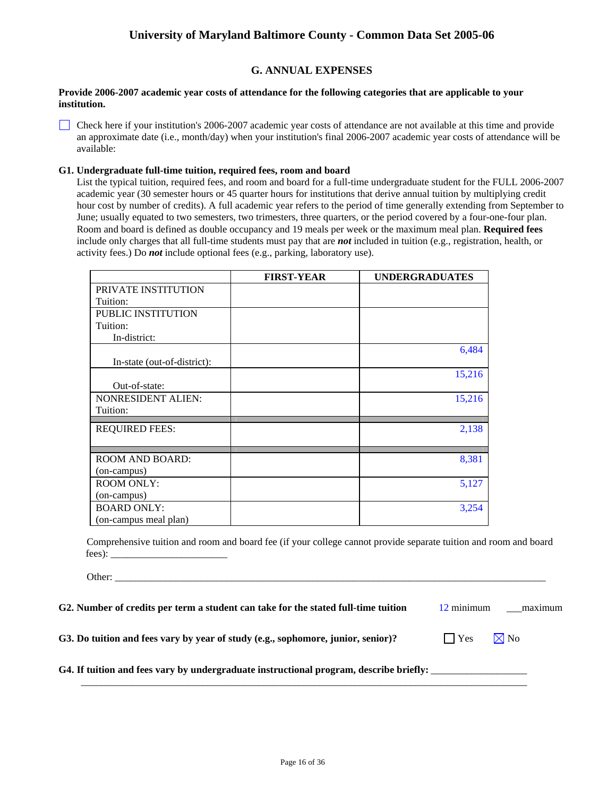## **G. ANNUAL EXPENSES**

### **Provide 2006-2007 academic year costs of attendance for the following categories that are applicable to your institution.**

Check here if your institution's 2006-2007 academic year costs of attendance are not available at this time and provide an approximate date (i.e., month/day) when your institution's final 2006-2007 academic year costs of attendance will be available:

### **G1. Undergraduate full-time tuition, required fees, room and board**

List the typical tuition, required fees, and room and board for a full-time undergraduate student for the FULL 2006-2007 academic year (30 semester hours or 45 quarter hours for institutions that derive annual tuition by multiplying credit hour cost by number of credits). A full academic year refers to the period of time generally extending from September to June; usually equated to two semesters, two trimesters, three quarters, or the period covered by a four-one-four plan. Room and board is defined as double occupancy and 19 meals per week or the maximum meal plan. **Required fees** include only charges that all full-time students must pay that are *not* included in tuition (e.g., registration, health, or activity fees.) Do *not* include optional fees (e.g., parking, laboratory use).

|                             | <b>FIRST-YEAR</b> | <b>UNDERGRADUATES</b> |
|-----------------------------|-------------------|-----------------------|
| PRIVATE INSTITUTION         |                   |                       |
| Tuition:                    |                   |                       |
| <b>PUBLIC INSTITUTION</b>   |                   |                       |
| Tuition:                    |                   |                       |
| In-district:                |                   |                       |
|                             |                   | 6,484                 |
| In-state (out-of-district): |                   |                       |
|                             |                   | 15,216                |
| Out-of-state:               |                   |                       |
| <b>NONRESIDENT ALIEN:</b>   |                   | 15,216                |
| Tuition:                    |                   |                       |
| <b>REQUIRED FEES:</b>       |                   | 2,138                 |
|                             |                   |                       |
|                             |                   |                       |
| <b>ROOM AND BOARD:</b>      |                   | 8,381                 |
| (on-campus)                 |                   |                       |
| <b>ROOM ONLY:</b>           |                   | 5,127                 |
| (on-campus)                 |                   |                       |
| <b>BOARD ONLY:</b>          |                   | 3,254                 |
| (on-campus meal plan)       |                   |                       |

Comprehensive tuition and room and board fee (if your college cannot provide separate tuition and room and board fees): \_\_\_\_\_\_\_\_\_\_\_\_\_\_\_\_\_\_\_\_\_\_\_

Other:

| G2. Number of credits per term a student can take for the stated full-time tuition | 12 minimum | maximum |
|------------------------------------------------------------------------------------|------------|---------|
|------------------------------------------------------------------------------------|------------|---------|

 $\mathcal{L}_\text{max}$  , and the contribution of the contribution of the contribution of the contribution of the contribution of the contribution of the contribution of the contribution of the contribution of the contribution of t

**G3. Do tuition and fees vary by year of study (e.g., sophomore, junior, senior)?**  $\Box$  Yes  $\Box$  Yo

## G4. If tuition and fees vary by undergraduate instructional program, describe briefly: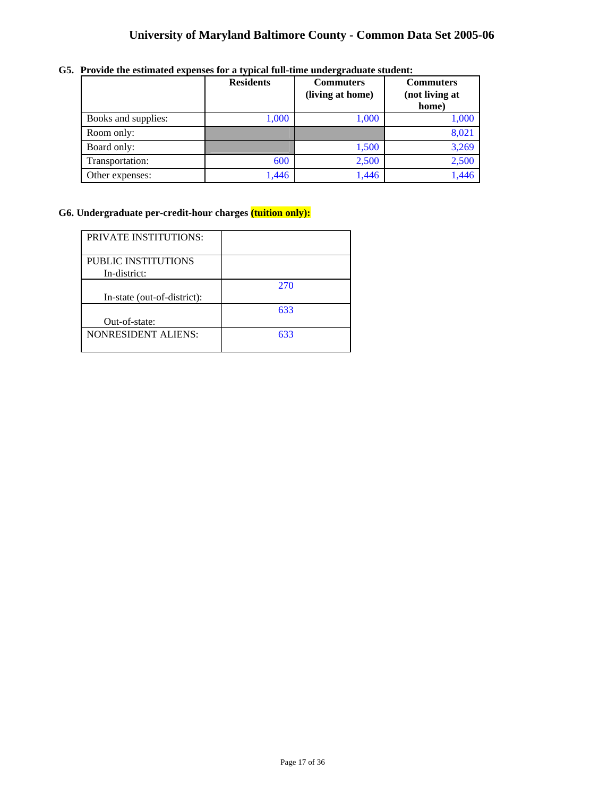|                     | <b>Residents</b> | <b>Commuters</b><br>(living at home) | <b>Commuters</b><br>(not living at<br>home) |
|---------------------|------------------|--------------------------------------|---------------------------------------------|
| Books and supplies: | 1,000            | 1,000                                | 1,000                                       |
| Room only:          |                  |                                      | 8,021                                       |
| Board only:         |                  | 1,500                                | 3,269                                       |
| Transportation:     | 600              | 2,500                                | 2,500                                       |
| Other expenses:     | 1,446            | 1,446                                | 1,446                                       |

**G5. Provide the estimated expenses for a typical full-time undergraduate student:** 

# **G6. Undergraduate per-credit-hour charges (tuition only):**

| <b>PRIVATE INSTITUTIONS:</b> |     |
|------------------------------|-----|
|                              |     |
|                              |     |
| PUBLIC INSTITUTIONS          |     |
|                              |     |
| In-district:                 |     |
|                              |     |
|                              | 270 |
|                              |     |
| In-state (out-of-district):  |     |
|                              |     |
|                              | 633 |
| Out-of-state:                |     |
|                              |     |
| <b>NONRESIDENT ALIENS:</b>   | 633 |
|                              |     |
|                              |     |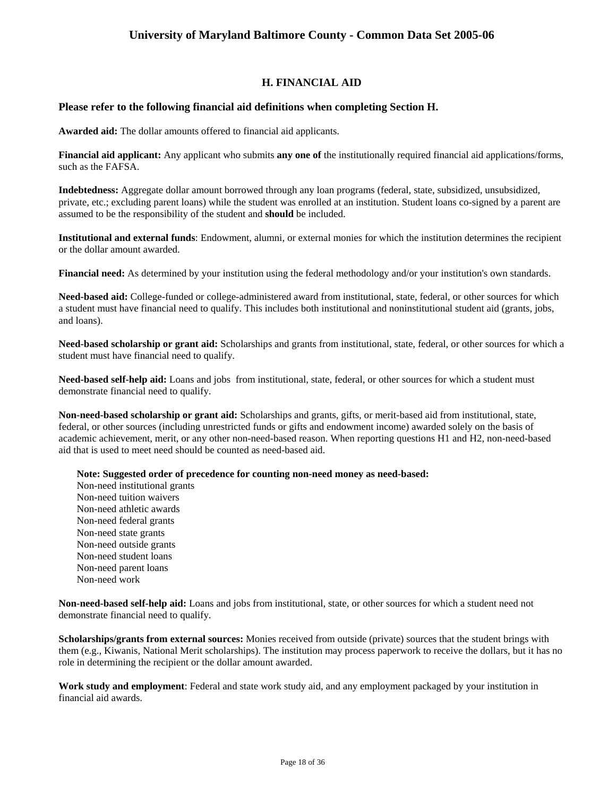# **H. FINANCIAL AID**

## **Please refer to the following financial aid definitions when completing Section H.**

**Awarded aid:** The dollar amounts offered to financial aid applicants.

**Financial aid applicant:** Any applicant who submits **any one of** the institutionally required financial aid applications/forms, such as the FAFSA.

**Indebtedness:** Aggregate dollar amount borrowed through any loan programs (federal, state, subsidized, unsubsidized, private, etc.; excluding parent loans) while the student was enrolled at an institution. Student loans co-signed by a parent are assumed to be the responsibility of the student and **should** be included.

**Institutional and external funds**: Endowment, alumni, or external monies for which the institution determines the recipient or the dollar amount awarded.

**Financial need:** As determined by your institution using the federal methodology and/or your institution's own standards.

**Need-based aid:** College-funded or college-administered award from institutional, state, federal, or other sources for which a student must have financial need to qualify. This includes both institutional and noninstitutional student aid (grants, jobs, and loans).

**Need-based scholarship or grant aid:** Scholarships and grants from institutional, state, federal, or other sources for which a student must have financial need to qualify.

**Need-based self-help aid:** Loans and jobs from institutional, state, federal, or other sources for which a student must demonstrate financial need to qualify.

**Non-need-based scholarship or grant aid:** Scholarships and grants, gifts, or merit-based aid from institutional, state, federal, or other sources (including unrestricted funds or gifts and endowment income) awarded solely on the basis of academic achievement, merit, or any other non-need-based reason. When reporting questions H1 and H2, non-need-based aid that is used to meet need should be counted as need-based aid.

**Note: Suggested order of precedence for counting non-need money as need-based:** 

Non-need institutional grants Non-need tuition waivers Non-need athletic awards Non-need federal grants Non-need state grants Non-need outside grants Non-need student loans Non-need parent loans Non-need work

**Non-need-based self-help aid:** Loans and jobs from institutional, state, or other sources for which a student need not demonstrate financial need to qualify.

**Scholarships/grants from external sources:** Monies received from outside (private) sources that the student brings with them (e.g., Kiwanis, National Merit scholarships). The institution may process paperwork to receive the dollars, but it has no role in determining the recipient or the dollar amount awarded.

**Work study and employment**: Federal and state work study aid, and any employment packaged by your institution in financial aid awards.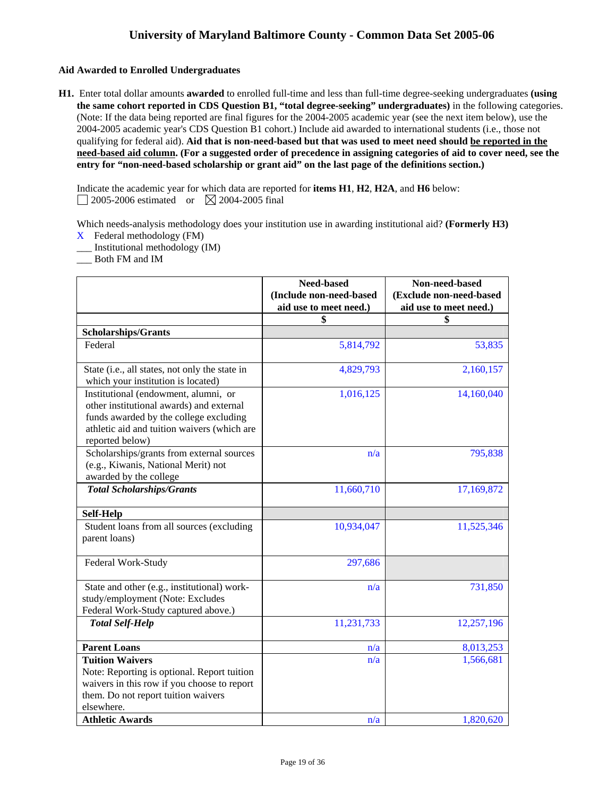## **Aid Awarded to Enrolled Undergraduates**

**H1.** Enter total dollar amounts **awarded** to enrolled full-time and less than full-time degree-seeking undergraduates **(using the same cohort reported in CDS Question B1, "total degree-seeking" undergraduates)** in the following categories. (Note: If the data being reported are final figures for the 2004-2005 academic year (see the next item below), use the 2004-2005 academic year's CDS Question B1 cohort.) Include aid awarded to international students (i.e., those not qualifying for federal aid). **Aid that is non-need-based but that was used to meet need should be reported in the need-based aid column. (For a suggested order of precedence in assigning categories of aid to cover need, see the entry for "non-need-based scholarship or grant aid" on the last page of the definitions section.)** 

Indicate the academic year for which data are reported for **items H1**, **H2**, **H2A**, and **H6** below:  $\Box$  2005-2006 estimated or  $\boxtimes$  2004-2005 final

Which needs-analysis methodology does your institution use in awarding institutional aid? **(Formerly H3)** 

- X Federal methodology (FM)
- \_\_\_ Institutional methodology (IM)

\_\_\_ Both FM and IM

|                                                                                                                                                                                              | Need-based<br>(Include non-need-based<br>aid use to meet need.) | Non-need-based<br>(Exclude non-need-based<br>aid use to meet need.) |
|----------------------------------------------------------------------------------------------------------------------------------------------------------------------------------------------|-----------------------------------------------------------------|---------------------------------------------------------------------|
|                                                                                                                                                                                              | \$                                                              | \$                                                                  |
| <b>Scholarships/Grants</b>                                                                                                                                                                   |                                                                 |                                                                     |
| Federal                                                                                                                                                                                      | 5,814,792                                                       | 53,835                                                              |
| State (i.e., all states, not only the state in<br>which your institution is located)                                                                                                         | 4,829,793                                                       | 2,160,157                                                           |
| Institutional (endowment, alumni, or<br>other institutional awards) and external<br>funds awarded by the college excluding<br>athletic aid and tuition waivers (which are<br>reported below) | 1,016,125                                                       | 14,160,040                                                          |
| Scholarships/grants from external sources<br>(e.g., Kiwanis, National Merit) not<br>awarded by the college                                                                                   | n/a                                                             | 795,838                                                             |
| <b>Total Scholarships/Grants</b>                                                                                                                                                             | 11,660,710                                                      | 17,169,872                                                          |
| <b>Self-Help</b>                                                                                                                                                                             |                                                                 |                                                                     |
| Student loans from all sources (excluding<br>parent loans)                                                                                                                                   | 10,934,047                                                      | 11,525,346                                                          |
| Federal Work-Study                                                                                                                                                                           | 297,686                                                         |                                                                     |
| State and other (e.g., institutional) work-<br>study/employment (Note: Excludes<br>Federal Work-Study captured above.)                                                                       | n/a                                                             | 731,850                                                             |
| <b>Total Self-Help</b>                                                                                                                                                                       | 11,231,733                                                      | 12,257,196                                                          |
| <b>Parent Loans</b>                                                                                                                                                                          | n/a                                                             | 8,013,253                                                           |
| <b>Tuition Waivers</b><br>Note: Reporting is optional. Report tuition<br>waivers in this row if you choose to report<br>them. Do not report tuition waivers<br>elsewhere.                    | n/a                                                             | 1,566,681                                                           |
| <b>Athletic Awards</b>                                                                                                                                                                       | n/a                                                             | 1,820,620                                                           |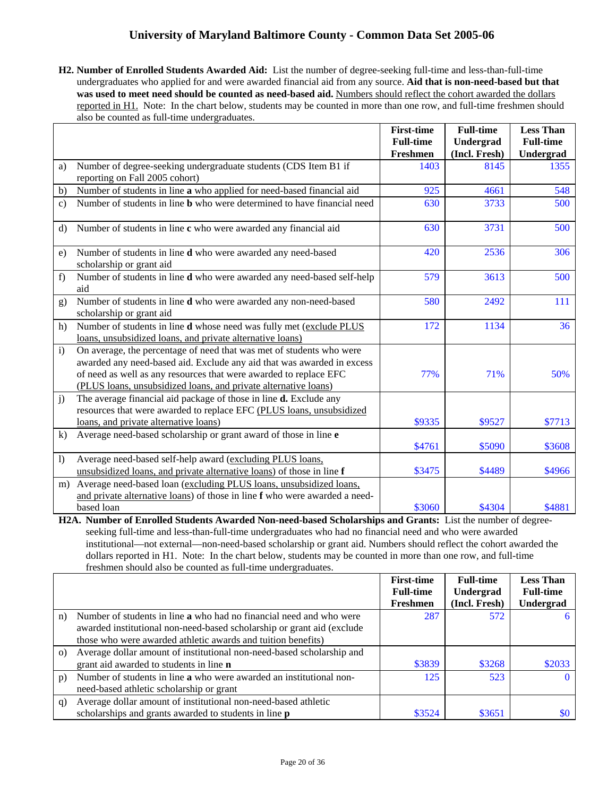**H2. Number of Enrolled Students Awarded Aid:** List the number of degree-seeking full-time and less-than-full-time undergraduates who applied for and were awarded financial aid from any source. **Aid that is non-need-based but that**  was used to meet need should be counted as need-based aid. Numbers should reflect the cohort awarded the dollars reported in H1. Note: In the chart below, students may be counted in more than one row, and full-time freshmen should also be counted as full-time undergraduates.

|                  |                                                                                                                                                                                                                                                                                        | <b>First-time</b>            | <b>Full-time</b>           | <b>Less Than</b>              |
|------------------|----------------------------------------------------------------------------------------------------------------------------------------------------------------------------------------------------------------------------------------------------------------------------------------|------------------------------|----------------------------|-------------------------------|
|                  |                                                                                                                                                                                                                                                                                        | <b>Full-time</b><br>Freshmen | Undergrad<br>(Incl. Fresh) | <b>Full-time</b><br>Undergrad |
| a)               | Number of degree-seeking undergraduate students (CDS Item B1 if<br>reporting on Fall 2005 cohort)                                                                                                                                                                                      | 1403                         | 8145                       | 1355                          |
| b)               | Number of students in line a who applied for need-based financial aid                                                                                                                                                                                                                  | 925                          | 4661                       | 548                           |
| $\mathbf{c}$ )   | Number of students in line <b>b</b> who were determined to have financial need                                                                                                                                                                                                         | 630                          | 3733                       | 500                           |
| $\rm d$          | Number of students in line c who were awarded any financial aid                                                                                                                                                                                                                        | 630                          | 3731                       | 500                           |
| e)               | Number of students in line d who were awarded any need-based<br>scholarship or grant aid                                                                                                                                                                                               | 420                          | 2536                       | 306                           |
| f)               | Number of students in line <b>d</b> who were awarded any need-based self-help<br>aid                                                                                                                                                                                                   | 579                          | 3613                       | 500                           |
| g)               | Number of students in line d who were awarded any non-need-based<br>scholarship or grant aid                                                                                                                                                                                           | 580                          | 2492                       | 111                           |
| h)               | Number of students in line d whose need was fully met (exclude PLUS<br>loans, unsubsidized loans, and private alternative loans)                                                                                                                                                       | 172                          | 1134                       | 36                            |
| $\mathbf{i}$     | On average, the percentage of need that was met of students who were<br>awarded any need-based aid. Exclude any aid that was awarded in excess<br>of need as well as any resources that were awarded to replace EFC<br>(PLUS loans, unsubsidized loans, and private alternative loans) | 77%                          | 71%                        | 50%                           |
| j)               | The average financial aid package of those in line <b>d.</b> Exclude any<br>resources that were awarded to replace EFC (PLUS loans, unsubsidized<br>loans, and private alternative loans)                                                                                              | \$9335                       | \$9527                     | \$7713                        |
| k)               | Average need-based scholarship or grant award of those in line e                                                                                                                                                                                                                       | \$4761                       | \$5090                     | \$3608                        |
| $\left  \right $ | Average need-based self-help award (excluding PLUS loans,<br>unsubsidized loans, and private alternative loans) of those in line f                                                                                                                                                     | \$3475                       | \$4489                     | \$4966                        |
| m)               | Average need-based loan (excluding PLUS loans, unsubsidized loans,<br>and private alternative loans) of those in line f who were awarded a need-                                                                                                                                       |                              |                            |                               |
|                  | based loan                                                                                                                                                                                                                                                                             | \$3060                       | \$4304                     | \$4881                        |

**H2A. Number of Enrolled Students Awarded Non-need-based Scholarships and Grants:** List the number of degreeseeking full-time and less-than-full-time undergraduates who had no financial need and who were awarded institutional—not external—non-need-based scholarship or grant aid. Numbers should reflect the cohort awarded the dollars reported in H1. Note: In the chart below, students may be counted in more than one row, and full-time freshmen should also be counted as full-time undergraduates.

|          |                                                                            | <b>First-time</b> | <b>Full-time</b> | <b>Less Than</b> |
|----------|----------------------------------------------------------------------------|-------------------|------------------|------------------|
|          |                                                                            | <b>Full-time</b>  | Undergrad        | <b>Full-time</b> |
|          |                                                                            | Freshmen          | (Incl. Fresh)    | Undergrad        |
| n)       | Number of students in line <b>a</b> who had no financial need and who were | 287               | 572              | 6                |
|          | awarded institutional non-need-based scholarship or grant aid (exclude     |                   |                  |                  |
|          | those who were awarded athletic awards and tuition benefits)               |                   |                  |                  |
| $\Omega$ | Average dollar amount of institutional non-need-based scholarship and      |                   |                  |                  |
|          | grant aid awarded to students in line <b>n</b>                             | \$3839            | \$3268           | \$2033           |
| p)       | Number of students in line a who were awarded an institutional non-        | 125               | 523              | $\Omega$         |
|          | need-based athletic scholarship or grant                                   |                   |                  |                  |
| q)       | Average dollar amount of institutional non-need-based athletic             |                   |                  |                  |
|          | scholarships and grants awarded to students in line <b>p</b>               | \$3524            | \$3651           | $\$0$            |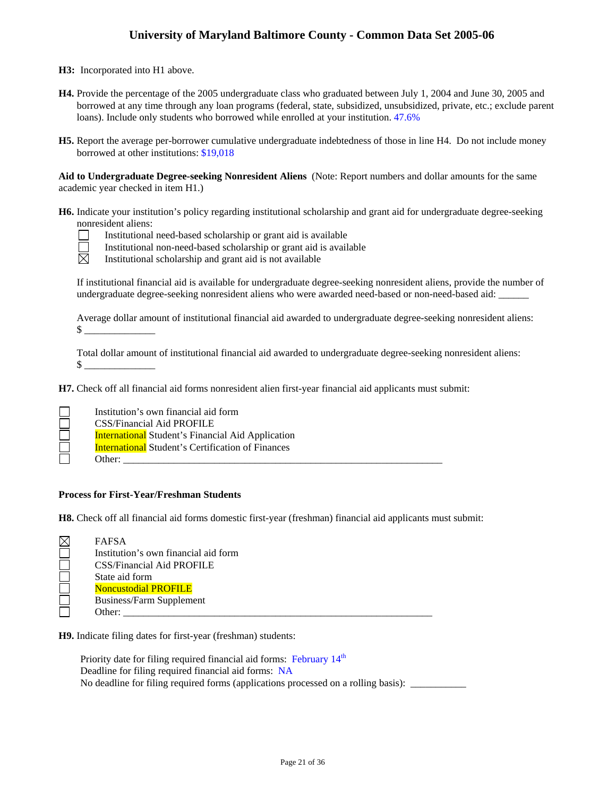**H3:** Incorporated into H1 above.

- **H4.** Provide the percentage of the 2005 undergraduate class who graduated between July 1, 2004 and June 30, 2005 and borrowed at any time through any loan programs (federal, state, subsidized, unsubsidized, private, etc.; exclude parent loans). Include only students who borrowed while enrolled at your institution. 47.6%
- **H5.** Report the average per-borrower cumulative undergraduate indebtedness of those in line H4. Do not include money borrowed at other institutions: \$19,018

**Aid to Undergraduate Degree-seeking Nonresident Aliens** (Note: Report numbers and dollar amounts for the same academic year checked in item H1.)

**H6.** Indicate your institution's policy regarding institutional scholarship and grant aid for undergraduate degree-seeking nonresident aliens:



Institutional need-based scholarship or grant aid is available

Institutional non-need-based scholarship or grant aid is available

区 Institutional scholarship and grant aid is not available

If institutional financial aid is available for undergraduate degree-seeking nonresident aliens, provide the number of undergraduate degree-seeking nonresident aliens who were awarded need-based or non-need-based aid:

Average dollar amount of institutional financial aid awarded to undergraduate degree-seeking nonresident aliens: \$ \_\_\_\_\_\_\_\_\_\_\_\_\_\_

Total dollar amount of institutional financial aid awarded to undergraduate degree-seeking nonresident aliens:  $\mathbb S$ 

**H7.** Check off all financial aid forms nonresident alien first-year financial aid applicants must submit:

| Institution's own financial aid form                     |
|----------------------------------------------------------|
| CSS/Financial Aid PROFILE                                |
| <b>International</b> Student's Financial Aid Application |
| <b>International Student's Certification of Finances</b> |
| Other:                                                   |

## **Process for First-Year/Freshman Students**

**H8.** Check off all financial aid forms domestic first-year (freshman) financial aid applicants must submit:

| <b>FAFSA</b>                         |
|--------------------------------------|
| Institution's own financial aid form |
| <b>CSS/Financial Aid PROFILE</b>     |
| State aid form                       |
| <b>Noncustodial PROFILE</b>          |
| <b>Business/Farm Supplement</b>      |
| Other:                               |
|                                      |

**H9.** Indicate filing dates for first-year (freshman) students:

Priority date for filing required financial aid forms: February  $14<sup>th</sup>$ Deadline for filing required financial aid forms: NA No deadline for filing required forms (applications processed on a rolling basis): \_\_\_\_\_\_\_\_\_\_\_\_\_\_\_\_\_\_\_\_\_\_\_\_\_\_\_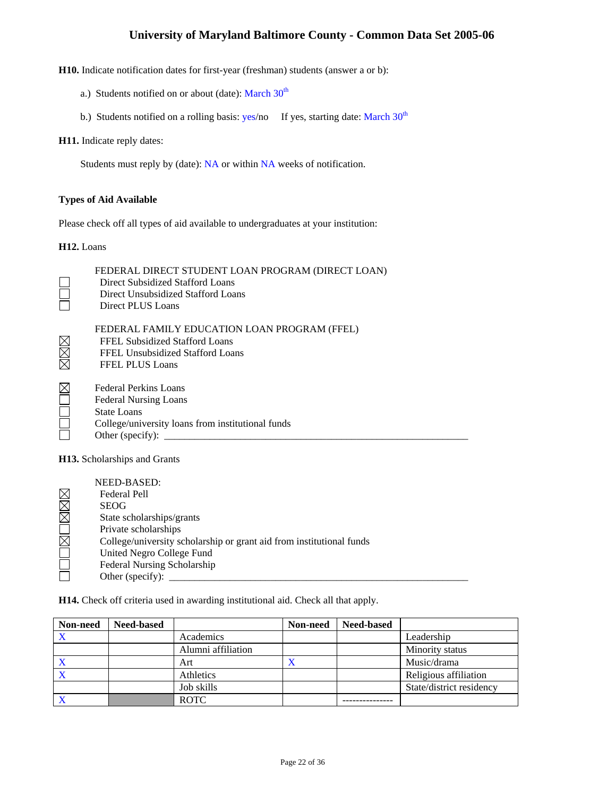**H10.** Indicate notification dates for first-year (freshman) students (answer a or b):

- a.) Students notified on or about (date): March  $30<sup>th</sup>$
- b.) Students notified on a rolling basis:  $yes/no$  If yes, starting date: March  $30<sup>th</sup>$

### **H11.** Indicate reply dates:

Students must reply by (date): NA or within NA weeks of notification.

### **Types of Aid Available**

Please check off all types of aid available to undergraduates at your institution:

#### **H12.** Loans

|                                     | FEDERAL DIRECT STUDENT LOAN PROGRAM (DIRECT LOAN)<br>Direct Subsidized Stafford Loans<br>Direct Unsubsidized Stafford Loans<br>Direct PLUS Loans            |  |  |  |
|-------------------------------------|-------------------------------------------------------------------------------------------------------------------------------------------------------------|--|--|--|
|                                     | FEDERAL FAMILY EDUCATION LOAN PROGRAM (FFEL)<br>FFEL Subsidized Stafford Loans<br>FFEL Unsubsidized Stafford Loans<br><b>FFEL PLUS Loans</b>                |  |  |  |
|                                     | Federal Perkins Loans<br><b>Federal Nursing Loans</b><br><b>State Loans</b><br>College/university loans from institutional funds<br>Other (specify): $\_\_$ |  |  |  |
| <b>H13.</b> Scholarships and Grants |                                                                                                                                                             |  |  |  |

| NEED-BASED:                                                          |
|----------------------------------------------------------------------|
| Federal Pell                                                         |
| <b>SEOG</b>                                                          |
| State scholarships/grants                                            |
| Private scholarships                                                 |
| College/university scholarship or grant aid from institutional funds |
| United Negro College Fund                                            |
| Federal Nursing Scholarship                                          |
| Other (specify):                                                     |

**H14.** Check off criteria used in awarding institutional aid. Check all that apply.

| Non-need  | <b>Need-based</b> |                    | Non-need  | <b>Need-based</b> |                          |
|-----------|-------------------|--------------------|-----------|-------------------|--------------------------|
| $\Lambda$ |                   | Academics          |           |                   | Leadership               |
|           |                   | Alumni affiliation |           |                   | Minority status          |
|           |                   | Art                | $\Lambda$ |                   | Music/drama              |
|           |                   | Athletics          |           |                   | Religious affiliation    |
|           |                   | Job skills         |           |                   | State/district residency |
|           |                   | <b>ROTC</b>        |           |                   |                          |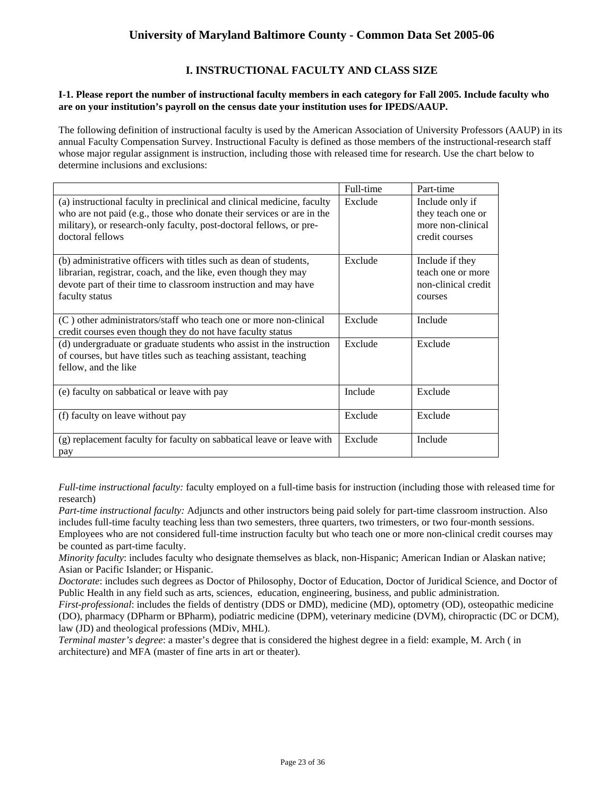# **I. INSTRUCTIONAL FACULTY AND CLASS SIZE**

### **I-1. Please report the number of instructional faculty members in each category for Fall 2005. Include faculty who are on your institution's payroll on the census date your institution uses for IPEDS/AAUP.**

The following definition of instructional faculty is used by the American Association of University Professors (AAUP) in its annual Faculty Compensation Survey. Instructional Faculty is defined as those members of the instructional-research staff whose major regular assignment is instruction, including those with released time for research. Use the chart below to determine inclusions and exclusions:

|                                                                                                                                                                                                                                             | Full-time | Part-time                                                                   |
|---------------------------------------------------------------------------------------------------------------------------------------------------------------------------------------------------------------------------------------------|-----------|-----------------------------------------------------------------------------|
| (a) instructional faculty in preclinical and clinical medicine, faculty<br>who are not paid (e.g., those who donate their services or are in the<br>military), or research-only faculty, post-doctoral fellows, or pre-<br>doctoral fellows | Exclude   | Include only if<br>they teach one or<br>more non-clinical<br>credit courses |
| (b) administrative officers with titles such as dean of students,<br>librarian, registrar, coach, and the like, even though they may<br>devote part of their time to classroom instruction and may have<br>faculty status                   | Exclude   | Include if they<br>teach one or more<br>non-clinical credit<br>courses      |
| (C) other administrators/staff who teach one or more non-clinical<br>credit courses even though they do not have faculty status                                                                                                             | Exclude   | Include                                                                     |
| (d) undergraduate or graduate students who assist in the instruction<br>of courses, but have titles such as teaching assistant, teaching<br>fellow, and the like                                                                            | Exclude   | Exclude                                                                     |
| (e) faculty on sabbatical or leave with pay                                                                                                                                                                                                 | Include   | Exclude                                                                     |
| (f) faculty on leave without pay                                                                                                                                                                                                            | Exclude   | Exclude                                                                     |
| (g) replacement faculty for faculty on sabbatical leave or leave with<br>pay                                                                                                                                                                | Exclude   | Include                                                                     |

*Full-time instructional faculty:* faculty employed on a full-time basis for instruction (including those with released time for research)

*Part-time instructional faculty:* Adjuncts and other instructors being paid solely for part-time classroom instruction. Also includes full-time faculty teaching less than two semesters, three quarters, two trimesters, or two four-month sessions. Employees who are not considered full-time instruction faculty but who teach one or more non-clinical credit courses may be counted as part-time faculty.

*Minority faculty*: includes faculty who designate themselves as black, non-Hispanic; American Indian or Alaskan native; Asian or Pacific Islander; or Hispanic.

*Doctorate*: includes such degrees as Doctor of Philosophy, Doctor of Education, Doctor of Juridical Science, and Doctor of Public Health in any field such as arts, sciences, education, engineering, business, and public administration.

*First-professional*: includes the fields of dentistry (DDS or DMD), medicine (MD), optometry (OD), osteopathic medicine (DO), pharmacy (DPharm or BPharm), podiatric medicine (DPM), veterinary medicine (DVM), chiropractic (DC or DCM), law (JD) and theological professions (MDiv, MHL).

*Terminal master's degree*: a master's degree that is considered the highest degree in a field: example, M. Arch ( in architecture) and MFA (master of fine arts in art or theater).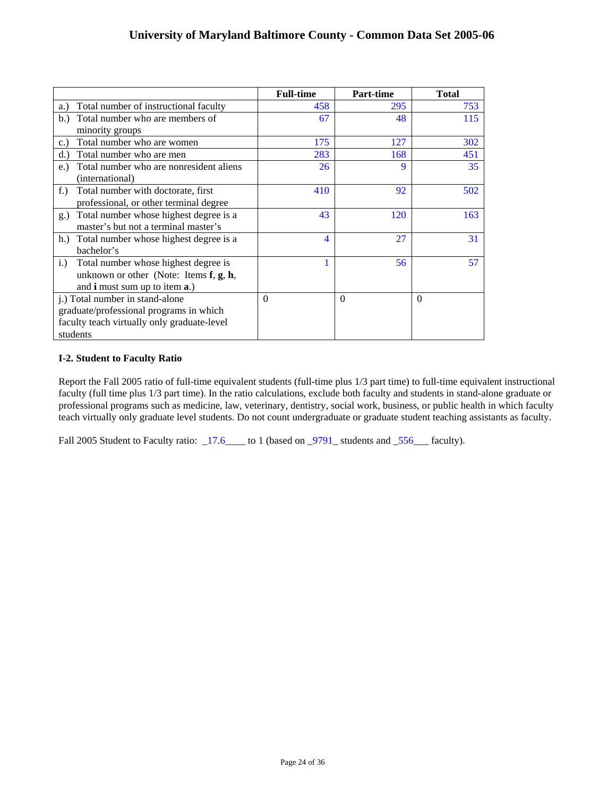|                                                  | <b>Full-time</b> | <b>Part-time</b> | <b>Total</b> |
|--------------------------------------------------|------------------|------------------|--------------|
| Total number of instructional faculty<br>a.)     | 458              | 295              | 753          |
| Total number who are members of<br>b.            | 67               | 48               | 115          |
| minority groups                                  |                  |                  |              |
| Total number who are women<br>c.                 | 175              | 127              | 302          |
| Total number who are men<br>d.                   | 283              | 168              | 451          |
| Total number who are nonresident aliens<br>$e$ . | 26               | $\mathbf Q$      | 35           |
| (international)                                  |                  |                  |              |
| Total number with doctorate, first<br>$f$ .      | 410              | 92               | 502          |
| professional, or other terminal degree           |                  |                  |              |
| Total number whose highest degree is a<br>g.)    | 43               | 120              | 163          |
| master's but not a terminal master's             |                  |                  |              |
| Total number whose highest degree is a<br>h.     | 4                | 27               | 31           |
| bachelor's                                       |                  |                  |              |
| Total number whose highest degree is<br>i.)      |                  | 56               | 57           |
| unknown or other (Note: Items $f, g, h$ ,        |                  |                  |              |
| and <b>i</b> must sum up to item <b>a</b> .)     |                  |                  |              |
| j.) Total number in stand-alone                  | $\Omega$         | $\Omega$         | $\Omega$     |
| graduate/professional programs in which          |                  |                  |              |
| faculty teach virtually only graduate-level      |                  |                  |              |
| students                                         |                  |                  |              |

## **I-2. Student to Faculty Ratio**

Report the Fall 2005 ratio of full-time equivalent students (full-time plus 1/3 part time) to full-time equivalent instructional faculty (full time plus 1/3 part time). In the ratio calculations, exclude both faculty and students in stand-alone graduate or professional programs such as medicine, law, veterinary, dentistry, social work, business, or public health in which faculty teach virtually only graduate level students. Do not count undergraduate or graduate student teaching assistants as faculty.

Fall 2005 Student to Faculty ratio: \_17.6\_\_\_\_ to 1 (based on \_9791\_ students and \_556\_\_\_ faculty).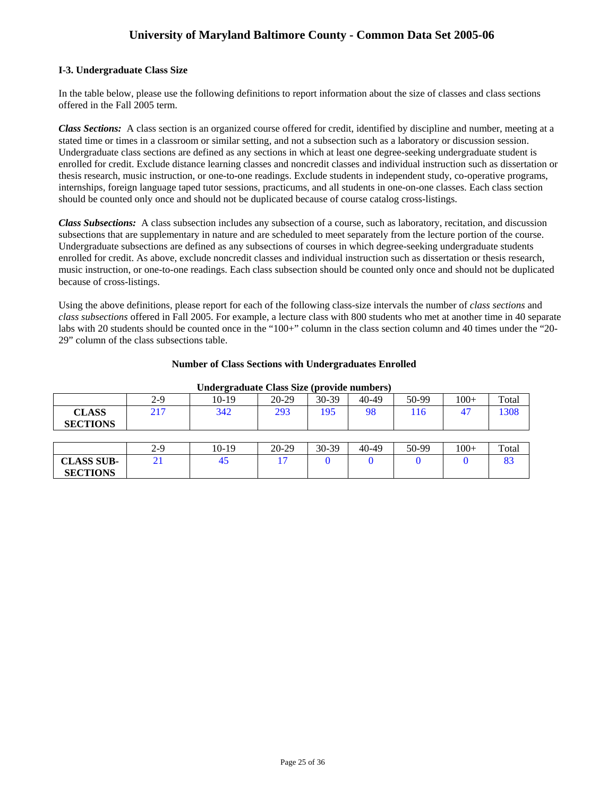### **I-3. Undergraduate Class Size**

In the table below, please use the following definitions to report information about the size of classes and class sections offered in the Fall 2005 term.

*Class Sections:* A class section is an organized course offered for credit, identified by discipline and number, meeting at a stated time or times in a classroom or similar setting, and not a subsection such as a laboratory or discussion session. Undergraduate class sections are defined as any sections in which at least one degree-seeking undergraduate student is enrolled for credit. Exclude distance learning classes and noncredit classes and individual instruction such as dissertation or thesis research, music instruction, or one-to-one readings. Exclude students in independent study, co-operative programs, internships, foreign language taped tutor sessions, practicums, and all students in one-on-one classes. Each class section should be counted only once and should not be duplicated because of course catalog cross-listings.

*Class Subsections:* A class subsection includes any subsection of a course, such as laboratory, recitation, and discussion subsections that are supplementary in nature and are scheduled to meet separately from the lecture portion of the course. Undergraduate subsections are defined as any subsections of courses in which degree-seeking undergraduate students enrolled for credit. As above, exclude noncredit classes and individual instruction such as dissertation or thesis research, music instruction, or one-to-one readings. Each class subsection should be counted only once and should not be duplicated because of cross-listings.

Using the above definitions, please report for each of the following class-size intervals the number of *class sections* and *class subsections* offered in Fall 2005. For example, a lecture class with 800 students who met at another time in 40 separate labs with 20 students should be counted once in the "100+" column in the class section column and 40 times under the "20-29" column of the class subsections table.

### **Number of Class Sections with Undergraduates Enrolled**

| ------ <b>-</b> ---             |       |         |         |         |       |       |        |       |
|---------------------------------|-------|---------|---------|---------|-------|-------|--------|-------|
|                                 | $2-9$ | $10-19$ | $20-29$ | 30-39   | 40-49 | 50-99 | $100+$ | Total |
| <b>CLASS</b><br><b>SECTIONS</b> | 217   | 342     | 293     | 195     | 98    | 16    | 47     | 1308  |
|                                 |       |         |         |         |       |       |        |       |
|                                 | $2-9$ | $10-19$ | $20-29$ | $30-39$ | 40-49 | 50-99 | $100+$ | Total |
| <b>CLASS SUB-</b>               | 21    | 45      | 17      |         |       |       |        | 83    |
| <b>SECTIONS</b>                 |       |         |         |         |       |       |        |       |

#### **Undergraduate Class Size (provide numbers)**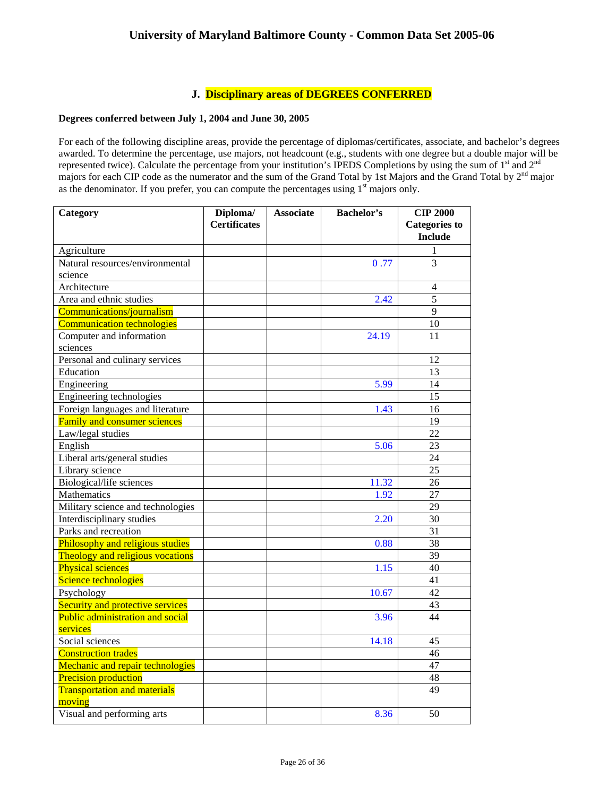# **J. Disciplinary areas of DEGREES CONFERRED**

## **Degrees conferred between July 1, 2004 and June 30, 2005**

For each of the following discipline areas, provide the percentage of diplomas/certificates, associate, and bachelor's degrees awarded. To determine the percentage, use majors, not headcount (e.g., students with one degree but a double major will be represented twice). Calculate the percentage from your institution's IPEDS Completions by using the sum of 1<sup>st</sup> and 2<sup>nd</sup> majors for each CIP code as the numerator and the sum of the Grand Total by 1st Majors and the Grand Total by 2<sup>nd</sup> major as the denominator. If you prefer, you can compute the percentages using  $1<sup>st</sup>$  majors only.

| Category                            | Diploma/<br><b>Associate</b> |  | <b>Bachelor's</b> | <b>CIP 2000</b>      |  |
|-------------------------------------|------------------------------|--|-------------------|----------------------|--|
|                                     | <b>Certificates</b>          |  |                   | <b>Categories to</b> |  |
|                                     |                              |  |                   | <b>Include</b>       |  |
| Agriculture                         |                              |  |                   | 1                    |  |
| Natural resources/environmental     |                              |  | 0.77              | 3                    |  |
| science                             |                              |  |                   |                      |  |
| Architecture                        |                              |  |                   | $\overline{4}$       |  |
| Area and ethnic studies             |                              |  | 2.42              | 5                    |  |
| Communications/journalism           |                              |  |                   | 9                    |  |
| <b>Communication technologies</b>   |                              |  |                   | 10                   |  |
| Computer and information            |                              |  | 24.19             | 11                   |  |
| sciences                            |                              |  |                   |                      |  |
| Personal and culinary services      |                              |  |                   | 12                   |  |
| Education                           |                              |  |                   | 13                   |  |
| Engineering                         |                              |  | 5.99              | 14                   |  |
| Engineering technologies            |                              |  |                   | 15                   |  |
| Foreign languages and literature    |                              |  | 1.43              | 16                   |  |
| <b>Family and consumer sciences</b> |                              |  |                   | 19                   |  |
| Law/legal studies                   |                              |  |                   | $\overline{22}$      |  |
| English                             |                              |  | 5.06              | 23                   |  |
| Liberal arts/general studies        |                              |  |                   | 24                   |  |
| Library science                     |                              |  |                   | 25                   |  |
| Biological/life sciences            |                              |  | 11.32             | 26                   |  |
| <b>Mathematics</b>                  |                              |  | 1.92              | $\overline{27}$      |  |
| Military science and technologies   |                              |  |                   | 29                   |  |
| Interdisciplinary studies           |                              |  | 2.20              | 30                   |  |
| Parks and recreation                |                              |  |                   | 31                   |  |
| Philosophy and religious studies    |                              |  | 0.88              | 38                   |  |
| Theology and religious vocations    |                              |  |                   | 39                   |  |
| <b>Physical sciences</b>            |                              |  | 1.15              | 40                   |  |
| Science technologies                |                              |  |                   | 41                   |  |
| Psychology                          |                              |  | 10.67             | $\overline{42}$      |  |
| Security and protective services    |                              |  |                   | 43                   |  |
| Public administration and social    |                              |  | 3.96              | 44                   |  |
| services                            |                              |  |                   |                      |  |
| Social sciences                     |                              |  | 14.18             | 45                   |  |
| <b>Construction trades</b>          |                              |  |                   | 46                   |  |
| Mechanic and repair technologies    |                              |  |                   | 47                   |  |
| <b>Precision production</b>         |                              |  |                   | 48                   |  |
| <b>Transportation and materials</b> |                              |  |                   | 49                   |  |
| moving                              |                              |  |                   |                      |  |
| Visual and performing arts          |                              |  | 8.36              | 50                   |  |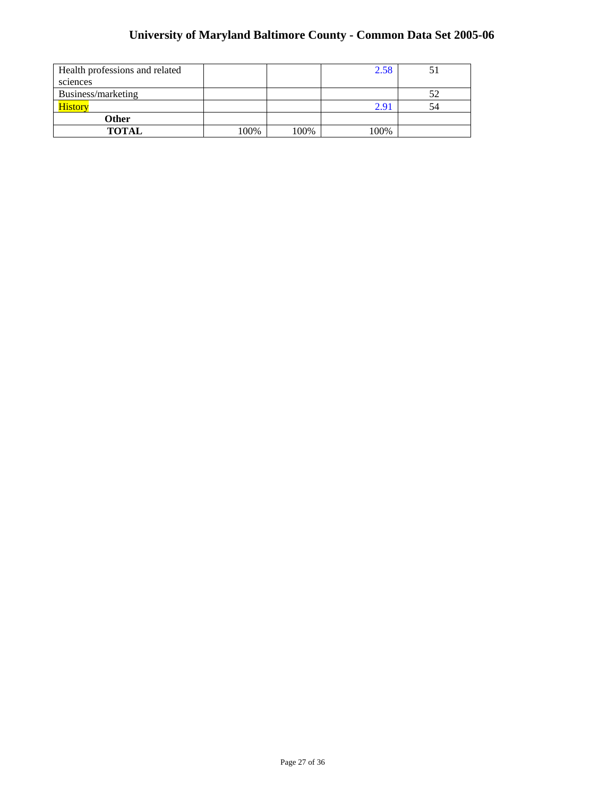| Health professions and related |      |      | 2.58 |    |
|--------------------------------|------|------|------|----|
| sciences                       |      |      |      |    |
| Business/marketing             |      |      |      |    |
| History                        |      |      | 2.91 | 54 |
| Other                          |      |      |      |    |
| <b>TOTAL</b>                   | 100% | 100% | 100% |    |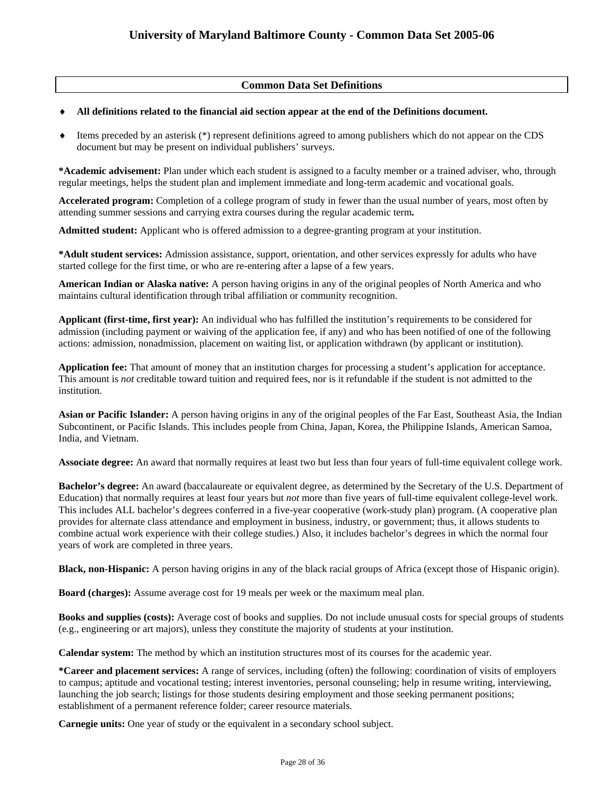## **Common Data Set Definitions**

### ♦ **All definitions related to the financial aid section appear at the end of the Definitions document.**

♦ Items preceded by an asterisk (\*) represent definitions agreed to among publishers which do not appear on the CDS document but may be present on individual publishers' surveys.

**\*Academic advisement:** Plan under which each student is assigned to a faculty member or a trained adviser, who, through regular meetings, helps the student plan and implement immediate and long-term academic and vocational goals.

**Accelerated program:** Completion of a college program of study in fewer than the usual number of years, most often by attending summer sessions and carrying extra courses during the regular academic term**.** 

**Admitted student:** Applicant who is offered admission to a degree-granting program at your institution.

**\*Adult student services:** Admission assistance, support, orientation, and other services expressly for adults who have started college for the first time, or who are re-entering after a lapse of a few years.

**American Indian or Alaska native:** A person having origins in any of the original peoples of North America and who maintains cultural identification through tribal affiliation or community recognition.

**Applicant (first-time, first year):** An individual who has fulfilled the institution's requirements to be considered for admission (including payment or waiving of the application fee, if any) and who has been notified of one of the following actions: admission, nonadmission, placement on waiting list, or application withdrawn (by applicant or institution).

**Application fee:** That amount of money that an institution charges for processing a student's application for acceptance. This amount is *not* creditable toward tuition and required fees, nor is it refundable if the student is not admitted to the institution.

**Asian or Pacific Islander:** A person having origins in any of the original peoples of the Far East, Southeast Asia, the Indian Subcontinent, or Pacific Islands. This includes people from China, Japan, Korea, the Philippine Islands, American Samoa, India, and Vietnam.

**Associate degree:** An award that normally requires at least two but less than four years of full-time equivalent college work.

**Bachelor's degree:** An award (baccalaureate or equivalent degree, as determined by the Secretary of the U.S. Department of Education) that normally requires at least four years but *not* more than five years of full-time equivalent college-level work. This includes ALL bachelor's degrees conferred in a five-year cooperative (work-study plan) program. (A cooperative plan provides for alternate class attendance and employment in business, industry, or government; thus, it allows students to combine actual work experience with their college studies.) Also, it includes bachelor's degrees in which the normal four years of work are completed in three years.

**Black, non-Hispanic:** A person having origins in any of the black racial groups of Africa (except those of Hispanic origin).

**Board (charges):** Assume average cost for 19 meals per week or the maximum meal plan.

**Books and supplies (costs):** Average cost of books and supplies. Do not include unusual costs for special groups of students (e.g., engineering or art majors), unless they constitute the majority of students at your institution.

**Calendar system:** The method by which an institution structures most of its courses for the academic year.

**\*Career and placement services:** A range of services, including (often) the following: coordination of visits of employers to campus; aptitude and vocational testing; interest inventories, personal counseling; help in resume writing, interviewing, launching the job search; listings for those students desiring employment and those seeking permanent positions; establishment of a permanent reference folder; career resource materials.

**Carnegie units:** One year of study or the equivalent in a secondary school subject.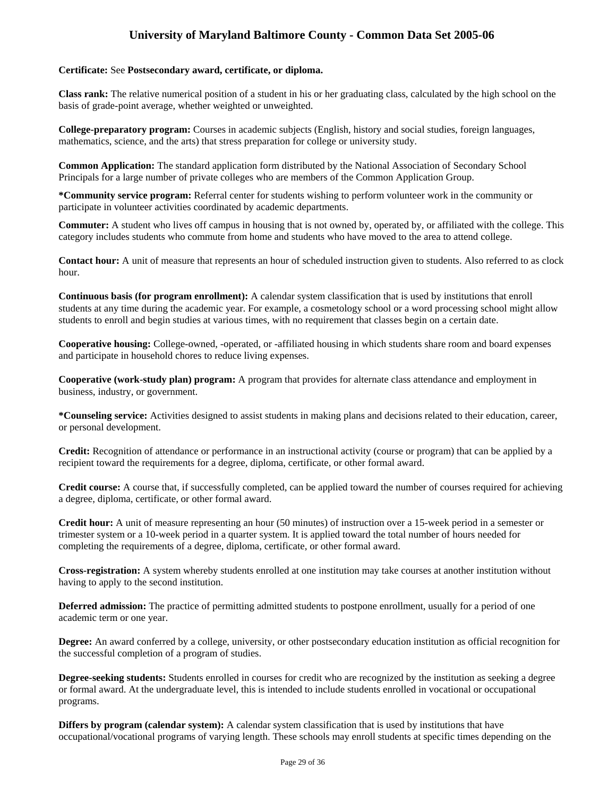### **Certificate:** See **Postsecondary award, certificate, or diploma.**

**Class rank:** The relative numerical position of a student in his or her graduating class, calculated by the high school on the basis of grade-point average, whether weighted or unweighted.

**College-preparatory program:** Courses in academic subjects (English, history and social studies, foreign languages, mathematics, science, and the arts) that stress preparation for college or university study.

**Common Application:** The standard application form distributed by the National Association of Secondary School Principals for a large number of private colleges who are members of the Common Application Group.

**\*Community service program:** Referral center for students wishing to perform volunteer work in the community or participate in volunteer activities coordinated by academic departments.

**Commuter:** A student who lives off campus in housing that is not owned by, operated by, or affiliated with the college. This category includes students who commute from home and students who have moved to the area to attend college.

**Contact hour:** A unit of measure that represents an hour of scheduled instruction given to students. Also referred to as clock hour.

**Continuous basis (for program enrollment):** A calendar system classification that is used by institutions that enroll students at any time during the academic year. For example, a cosmetology school or a word processing school might allow students to enroll and begin studies at various times, with no requirement that classes begin on a certain date.

**Cooperative housing:** College-owned, -operated, or -affiliated housing in which students share room and board expenses and participate in household chores to reduce living expenses.

**Cooperative (work-study plan) program:** A program that provides for alternate class attendance and employment in business, industry, or government.

**\*Counseling service:** Activities designed to assist students in making plans and decisions related to their education, career, or personal development.

**Credit:** Recognition of attendance or performance in an instructional activity (course or program) that can be applied by a recipient toward the requirements for a degree, diploma, certificate, or other formal award.

**Credit course:** A course that, if successfully completed, can be applied toward the number of courses required for achieving a degree, diploma, certificate, or other formal award.

**Credit hour:** A unit of measure representing an hour (50 minutes) of instruction over a 15-week period in a semester or trimester system or a 10-week period in a quarter system. It is applied toward the total number of hours needed for completing the requirements of a degree, diploma, certificate, or other formal award.

**Cross-registration:** A system whereby students enrolled at one institution may take courses at another institution without having to apply to the second institution.

**Deferred admission:** The practice of permitting admitted students to postpone enrollment, usually for a period of one academic term or one year.

**Degree:** An award conferred by a college, university, or other postsecondary education institution as official recognition for the successful completion of a program of studies.

**Degree-seeking students:** Students enrolled in courses for credit who are recognized by the institution as seeking a degree or formal award. At the undergraduate level, this is intended to include students enrolled in vocational or occupational programs.

**Differs by program (calendar system):** A calendar system classification that is used by institutions that have occupational/vocational programs of varying length. These schools may enroll students at specific times depending on the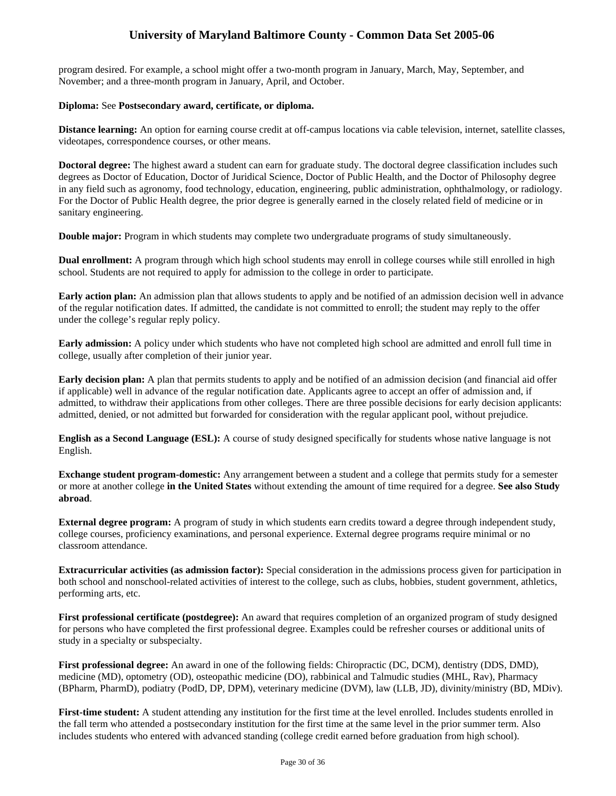program desired. For example, a school might offer a two-month program in January, March, May, September, and November; and a three-month program in January, April, and October.

### **Diploma:** See **Postsecondary award, certificate, or diploma.**

**Distance learning:** An option for earning course credit at off-campus locations via cable television, internet, satellite classes, videotapes, correspondence courses, or other means.

**Doctoral degree:** The highest award a student can earn for graduate study. The doctoral degree classification includes such degrees as Doctor of Education, Doctor of Juridical Science, Doctor of Public Health, and the Doctor of Philosophy degree in any field such as agronomy, food technology, education, engineering, public administration, ophthalmology, or radiology. For the Doctor of Public Health degree, the prior degree is generally earned in the closely related field of medicine or in sanitary engineering.

**Double major:** Program in which students may complete two undergraduate programs of study simultaneously.

**Dual enrollment:** A program through which high school students may enroll in college courses while still enrolled in high school. Students are not required to apply for admission to the college in order to participate.

**Early action plan:** An admission plan that allows students to apply and be notified of an admission decision well in advance of the regular notification dates. If admitted, the candidate is not committed to enroll; the student may reply to the offer under the college's regular reply policy.

**Early admission:** A policy under which students who have not completed high school are admitted and enroll full time in college, usually after completion of their junior year.

**Early decision plan:** A plan that permits students to apply and be notified of an admission decision (and financial aid offer if applicable) well in advance of the regular notification date. Applicants agree to accept an offer of admission and, if admitted, to withdraw their applications from other colleges. There are three possible decisions for early decision applicants: admitted, denied, or not admitted but forwarded for consideration with the regular applicant pool, without prejudice.

**English as a Second Language (ESL):** A course of study designed specifically for students whose native language is not English.

**Exchange student program-domestic:** Any arrangement between a student and a college that permits study for a semester or more at another college **in the United States** without extending the amount of time required for a degree. **See also Study abroad**.

**External degree program:** A program of study in which students earn credits toward a degree through independent study, college courses, proficiency examinations, and personal experience. External degree programs require minimal or no classroom attendance.

**Extracurricular activities (as admission factor):** Special consideration in the admissions process given for participation in both school and nonschool-related activities of interest to the college, such as clubs, hobbies, student government, athletics, performing arts, etc.

**First professional certificate (postdegree):** An award that requires completion of an organized program of study designed for persons who have completed the first professional degree. Examples could be refresher courses or additional units of study in a specialty or subspecialty.

**First professional degree:** An award in one of the following fields: Chiropractic (DC, DCM), dentistry (DDS, DMD), medicine (MD), optometry (OD), osteopathic medicine (DO), rabbinical and Talmudic studies (MHL, Rav), Pharmacy (BPharm, PharmD), podiatry (PodD, DP, DPM), veterinary medicine (DVM), law (LLB, JD), divinity/ministry (BD, MDiv).

**First-time student:** A student attending any institution for the first time at the level enrolled. Includes students enrolled in the fall term who attended a postsecondary institution for the first time at the same level in the prior summer term. Also includes students who entered with advanced standing (college credit earned before graduation from high school).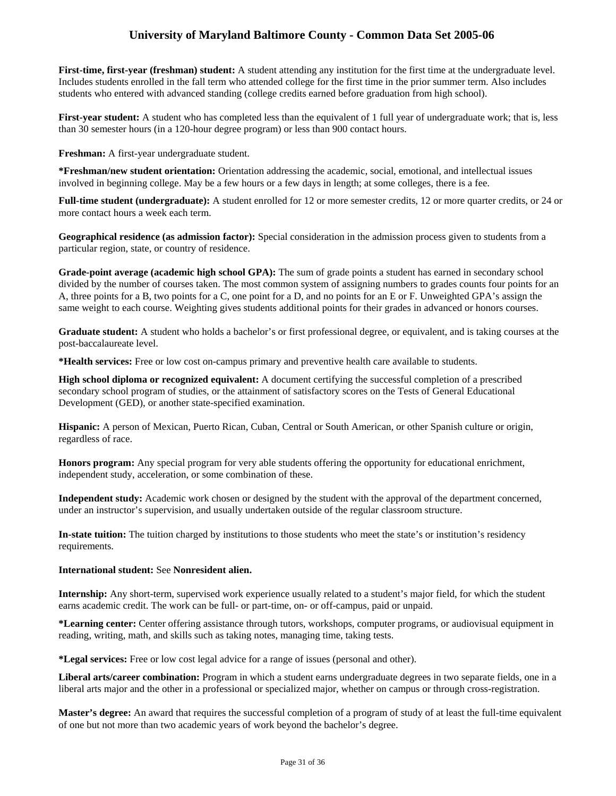**First-time, first-year (freshman) student:** A student attending any institution for the first time at the undergraduate level. Includes students enrolled in the fall term who attended college for the first time in the prior summer term. Also includes students who entered with advanced standing (college credits earned before graduation from high school).

**First-year student:** A student who has completed less than the equivalent of 1 full year of undergraduate work; that is, less than 30 semester hours (in a 120-hour degree program) or less than 900 contact hours.

**Freshman:** A first-year undergraduate student.

**\*Freshman/new student orientation:** Orientation addressing the academic, social, emotional, and intellectual issues involved in beginning college. May be a few hours or a few days in length; at some colleges, there is a fee.

**Full-time student (undergraduate):** A student enrolled for 12 or more semester credits, 12 or more quarter credits, or 24 or more contact hours a week each term.

**Geographical residence (as admission factor):** Special consideration in the admission process given to students from a particular region, state, or country of residence.

**Grade-point average (academic high school GPA):** The sum of grade points a student has earned in secondary school divided by the number of courses taken. The most common system of assigning numbers to grades counts four points for an A, three points for a B, two points for a C, one point for a D, and no points for an E or F. Unweighted GPA's assign the same weight to each course. Weighting gives students additional points for their grades in advanced or honors courses.

**Graduate student:** A student who holds a bachelor's or first professional degree, or equivalent, and is taking courses at the post-baccalaureate level.

**\*Health services:** Free or low cost on-campus primary and preventive health care available to students.

**High school diploma or recognized equivalent:** A document certifying the successful completion of a prescribed secondary school program of studies, or the attainment of satisfactory scores on the Tests of General Educational Development (GED), or another state-specified examination.

**Hispanic:** A person of Mexican, Puerto Rican, Cuban, Central or South American, or other Spanish culture or origin, regardless of race.

**Honors program:** Any special program for very able students offering the opportunity for educational enrichment, independent study, acceleration, or some combination of these.

**Independent study:** Academic work chosen or designed by the student with the approval of the department concerned, under an instructor's supervision, and usually undertaken outside of the regular classroom structure.

**In-state tuition:** The tuition charged by institutions to those students who meet the state's or institution's residency requirements.

### **International student:** See **Nonresident alien.**

**Internship:** Any short-term, supervised work experience usually related to a student's major field, for which the student earns academic credit. The work can be full- or part-time, on- or off-campus, paid or unpaid.

**\*Learning center:** Center offering assistance through tutors, workshops, computer programs, or audiovisual equipment in reading, writing, math, and skills such as taking notes, managing time, taking tests.

**\*Legal services:** Free or low cost legal advice for a range of issues (personal and other).

**Liberal arts/career combination:** Program in which a student earns undergraduate degrees in two separate fields, one in a liberal arts major and the other in a professional or specialized major, whether on campus or through cross-registration.

**Master's degree:** An award that requires the successful completion of a program of study of at least the full-time equivalent of one but not more than two academic years of work beyond the bachelor's degree.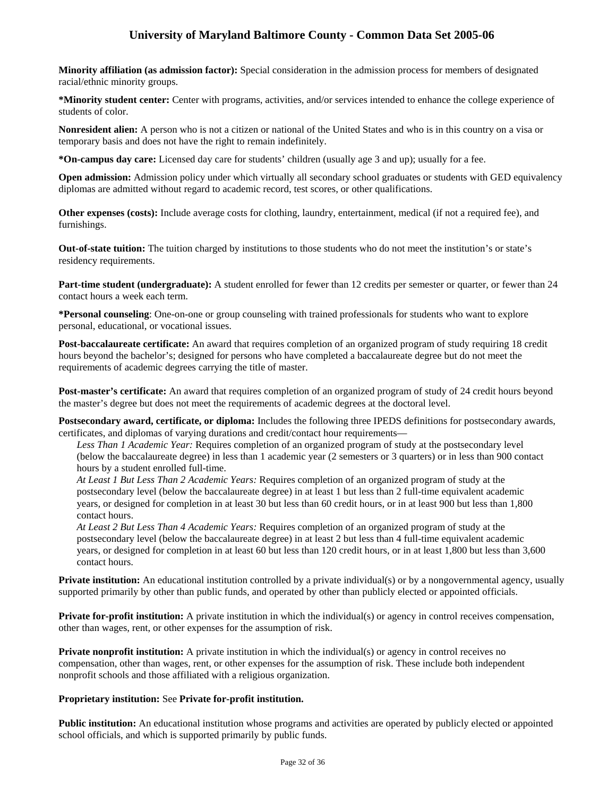**Minority affiliation (as admission factor):** Special consideration in the admission process for members of designated racial/ethnic minority groups.

**\*Minority student center:** Center with programs, activities, and/or services intended to enhance the college experience of students of color.

**Nonresident alien:** A person who is not a citizen or national of the United States and who is in this country on a visa or temporary basis and does not have the right to remain indefinitely.

**\*On-campus day care:** Licensed day care for students' children (usually age 3 and up); usually for a fee.

**Open admission:** Admission policy under which virtually all secondary school graduates or students with GED equivalency diplomas are admitted without regard to academic record, test scores, or other qualifications.

**Other expenses (costs):** Include average costs for clothing, laundry, entertainment, medical (if not a required fee), and furnishings.

**Out-of-state tuition:** The tuition charged by institutions to those students who do not meet the institution's or state's residency requirements.

**Part-time student (undergraduate):** A student enrolled for fewer than 12 credits per semester or quarter, or fewer than 24 contact hours a week each term.

**\*Personal counseling**: One-on-one or group counseling with trained professionals for students who want to explore personal, educational, or vocational issues.

**Post-baccalaureate certificate:** An award that requires completion of an organized program of study requiring 18 credit hours beyond the bachelor's; designed for persons who have completed a baccalaureate degree but do not meet the requirements of academic degrees carrying the title of master.

**Post-master's certificate:** An award that requires completion of an organized program of study of 24 credit hours beyond the master's degree but does not meet the requirements of academic degrees at the doctoral level.

**Postsecondary award, certificate, or diploma:** Includes the following three IPEDS definitions for postsecondary awards, certificates, and diplomas of varying durations and credit/contact hour requirements—

*Less Than 1 Academic Year:* Requires completion of an organized program of study at the postsecondary level (below the baccalaureate degree) in less than 1 academic year (2 semesters or 3 quarters) or in less than 900 contact hours by a student enrolled full-time.

*At Least 1 But Less Than 2 Academic Years:* Requires completion of an organized program of study at the postsecondary level (below the baccalaureate degree) in at least 1 but less than 2 full-time equivalent academic years, or designed for completion in at least 30 but less than 60 credit hours, or in at least 900 but less than 1,800 contact hours.

*At Least 2 But Less Than 4 Academic Years:* Requires completion of an organized program of study at the postsecondary level (below the baccalaureate degree) in at least 2 but less than 4 full-time equivalent academic years, or designed for completion in at least 60 but less than 120 credit hours, or in at least 1,800 but less than 3,600 contact hours.

**Private institution:** An educational institution controlled by a private individual(s) or by a nongovernmental agency, usually supported primarily by other than public funds, and operated by other than publicly elected or appointed officials.

**Private for-profit institution:** A private institution in which the individual(s) or agency in control receives compensation, other than wages, rent, or other expenses for the assumption of risk.

**Private nonprofit institution:** A private institution in which the individual(s) or agency in control receives no compensation, other than wages, rent, or other expenses for the assumption of risk. These include both independent nonprofit schools and those affiliated with a religious organization.

## **Proprietary institution:** See **Private for-profit institution.**

**Public institution:** An educational institution whose programs and activities are operated by publicly elected or appointed school officials, and which is supported primarily by public funds.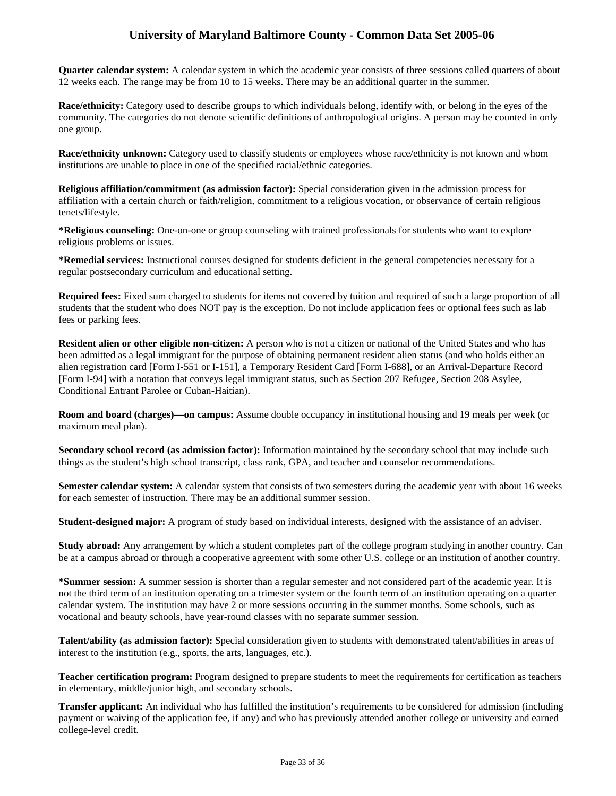**Quarter calendar system:** A calendar system in which the academic year consists of three sessions called quarters of about 12 weeks each. The range may be from 10 to 15 weeks. There may be an additional quarter in the summer.

**Race/ethnicity:** Category used to describe groups to which individuals belong, identify with, or belong in the eyes of the community. The categories do not denote scientific definitions of anthropological origins. A person may be counted in only one group.

**Race/ethnicity unknown:** Category used to classify students or employees whose race/ethnicity is not known and whom institutions are unable to place in one of the specified racial/ethnic categories.

**Religious affiliation/commitment (as admission factor):** Special consideration given in the admission process for affiliation with a certain church or faith/religion, commitment to a religious vocation, or observance of certain religious tenets/lifestyle.

**\*Religious counseling:** One-on-one or group counseling with trained professionals for students who want to explore religious problems or issues.

**\*Remedial services:** Instructional courses designed for students deficient in the general competencies necessary for a regular postsecondary curriculum and educational setting.

**Required fees:** Fixed sum charged to students for items not covered by tuition and required of such a large proportion of all students that the student who does NOT pay is the exception. Do not include application fees or optional fees such as lab fees or parking fees.

**Resident alien or other eligible non-citizen:** A person who is not a citizen or national of the United States and who has been admitted as a legal immigrant for the purpose of obtaining permanent resident alien status (and who holds either an alien registration card [Form I-551 or I-151], a Temporary Resident Card [Form I-688], or an Arrival-Departure Record [Form I-94] with a notation that conveys legal immigrant status, such as Section 207 Refugee, Section 208 Asylee, Conditional Entrant Parolee or Cuban-Haitian).

**Room and board (charges)—on campus:** Assume double occupancy in institutional housing and 19 meals per week (or maximum meal plan).

**Secondary school record (as admission factor):** Information maintained by the secondary school that may include such things as the student's high school transcript, class rank, GPA, and teacher and counselor recommendations.

**Semester calendar system:** A calendar system that consists of two semesters during the academic year with about 16 weeks for each semester of instruction. There may be an additional summer session.

**Student-designed major:** A program of study based on individual interests, designed with the assistance of an adviser.

**Study abroad:** Any arrangement by which a student completes part of the college program studying in another country. Can be at a campus abroad or through a cooperative agreement with some other U.S. college or an institution of another country.

**\*Summer session:** A summer session is shorter than a regular semester and not considered part of the academic year. It is not the third term of an institution operating on a trimester system or the fourth term of an institution operating on a quarter calendar system. The institution may have 2 or more sessions occurring in the summer months. Some schools, such as vocational and beauty schools, have year-round classes with no separate summer session.

**Talent/ability (as admission factor):** Special consideration given to students with demonstrated talent/abilities in areas of interest to the institution (e.g., sports, the arts, languages, etc.).

**Teacher certification program:** Program designed to prepare students to meet the requirements for certification as teachers in elementary, middle/junior high, and secondary schools.

**Transfer applicant:** An individual who has fulfilled the institution's requirements to be considered for admission (including payment or waiving of the application fee, if any) and who has previously attended another college or university and earned college-level credit.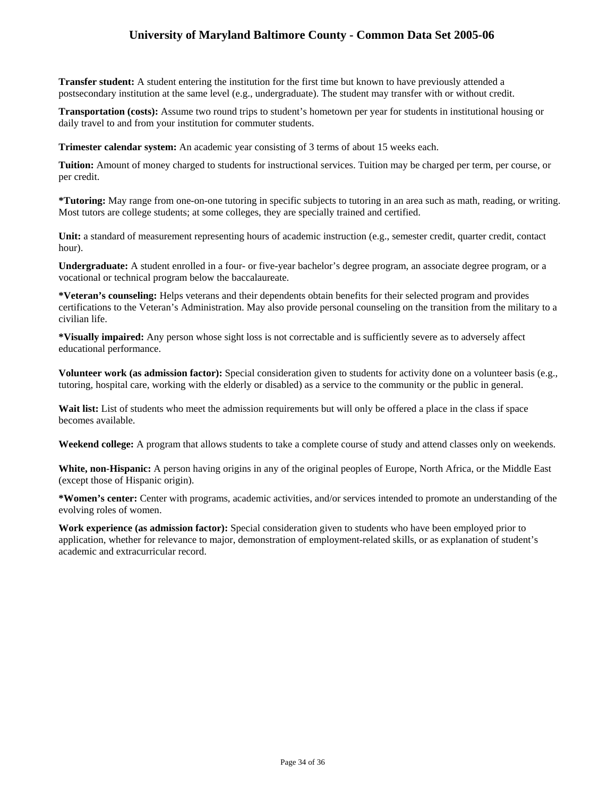**Transfer student:** A student entering the institution for the first time but known to have previously attended a postsecondary institution at the same level (e.g., undergraduate). The student may transfer with or without credit.

**Transportation (costs):** Assume two round trips to student's hometown per year for students in institutional housing or daily travel to and from your institution for commuter students.

**Trimester calendar system:** An academic year consisting of 3 terms of about 15 weeks each.

**Tuition:** Amount of money charged to students for instructional services. Tuition may be charged per term, per course, or per credit.

**\*Tutoring:** May range from one-on-one tutoring in specific subjects to tutoring in an area such as math, reading, or writing. Most tutors are college students; at some colleges, they are specially trained and certified.

**Unit:** a standard of measurement representing hours of academic instruction (e.g., semester credit, quarter credit, contact hour).

**Undergraduate:** A student enrolled in a four- or five-year bachelor's degree program, an associate degree program, or a vocational or technical program below the baccalaureate.

**\*Veteran's counseling:** Helps veterans and their dependents obtain benefits for their selected program and provides certifications to the Veteran's Administration. May also provide personal counseling on the transition from the military to a civilian life.

**\*Visually impaired:** Any person whose sight loss is not correctable and is sufficiently severe as to adversely affect educational performance.

**Volunteer work (as admission factor):** Special consideration given to students for activity done on a volunteer basis (e.g., tutoring, hospital care, working with the elderly or disabled) as a service to the community or the public in general.

Wait list: List of students who meet the admission requirements but will only be offered a place in the class if space becomes available.

**Weekend college:** A program that allows students to take a complete course of study and attend classes only on weekends.

**White, non-Hispanic:** A person having origins in any of the original peoples of Europe, North Africa, or the Middle East (except those of Hispanic origin).

**\*Women's center:** Center with programs, academic activities, and/or services intended to promote an understanding of the evolving roles of women.

**Work experience (as admission factor):** Special consideration given to students who have been employed prior to application, whether for relevance to major, demonstration of employment-related skills, or as explanation of student's academic and extracurricular record.